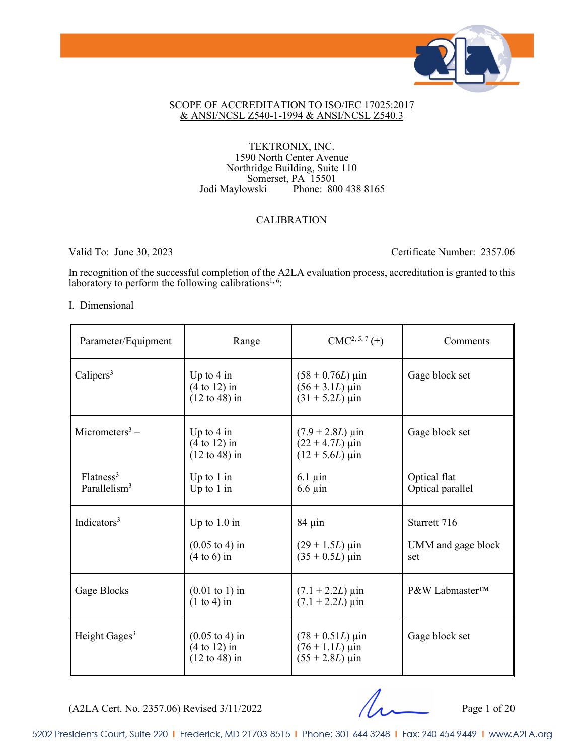

#### SCOPE OF ACCREDITATION TO ISO/IEC 17025:2017 & ANSI/NCSL Z540-1-1994 & ANSI/NCSL Z540.3

#### TEKTRONIX, INC. 1590 North Center Avenue Northridge Building, Suite 110 Somerset, PA 15501 Jodi Maylowski Phone: 800 438 8165

#### CALIBRATION

Valid To: June 30, 2023 Certificate Number: 2357.06

In recognition of the successful completion of the A2LA evaluation process, accreditation is granted to this laboratory to perform the following calibrations<sup>1, 6</sup>:

#### I. Dimensional

| Parameter/Equipment                               | Range                                                                           | $CMC2, 5, 7(\pm)$                                                                        | Comments                                  |
|---------------------------------------------------|---------------------------------------------------------------------------------|------------------------------------------------------------------------------------------|-------------------------------------------|
| Calipers <sup>3</sup>                             | Up to $4 \text{ in}$<br>$(4 to 12)$ in<br>$(12 \text{ to } 48)$ in              | $(58 + 0.76L) \,\mu\text{in}$<br>$(56 + 3.1L) \,\mu \text{in}$<br>$(31 + 5.2L)$ µin      | Gage block set                            |
| Micrometers <sup>3</sup> –                        | Up to $4 \text{ in}$<br>$(4 \text{ to } 12)$ in<br>$(12 \text{ to } 48)$ in     | $(7.9 + 2.8L) \,\mu \text{in}$<br>$(22 + 4.7L) \,\mu \text{in}$<br>$(12 + 5.6L)$ µin     | Gage block set                            |
| Flatness <sup>3</sup><br>Parallelism <sup>3</sup> | Up to $1$ in<br>Up to $1$ in                                                    | $6.1 \,\mathrm{\mu}$ in<br>$6.6 \mu$ in                                                  | Optical flat<br>Optical parallel          |
| Indicators <sup>3</sup>                           | Up to $1.0$ in<br>$(0.05 \text{ to } 4) \text{ in}$<br>$(4 to 6)$ in            | $84 \mu$ in<br>$(29 + 1.5L)$ µin<br>$(35 + 0.5L)$ µin                                    | Starrett 716<br>UMM and gage block<br>set |
| Gage Blocks                                       | $(0.01 \text{ to } 1) \text{ in}$<br>$(1 to 4)$ in                              | $(7.1 + 2.2L) \,\mu$ in<br>$(7.1 + 2.2L) \,\mu$ in                                       | P&W Labmaster™                            |
| Height Gages <sup>3</sup>                         | $(0.05 \text{ to } 4) \text{ in}$<br>$(4 to 12)$ in<br>$(12 \text{ to } 48)$ in | $(78 + 0.51L) \,\mu \text{in}$<br>$(76 + 1.1L) \,\mu$ in<br>$(55 + 2.8L) \,\mu\text{in}$ | Gage block set                            |

(A2LA Cert. No. 2357.06) Revised 3/11/2022 Page 1 of 20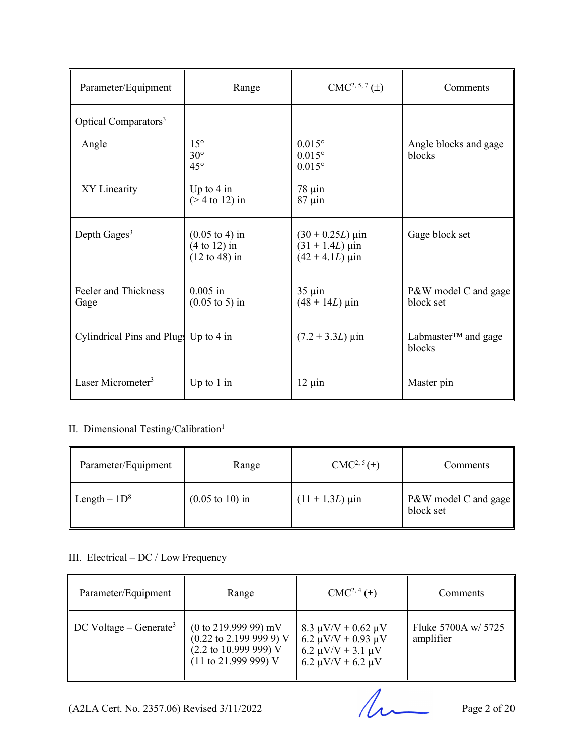| Parameter/Equipment                   | Range                                                                                    | $CMC2, 5, 7(\pm)$                                                                   | Comments                                   |
|---------------------------------------|------------------------------------------------------------------------------------------|-------------------------------------------------------------------------------------|--------------------------------------------|
| Optical Comparators <sup>3</sup>      |                                                                                          |                                                                                     |                                            |
| Angle                                 | $15^{\circ}$<br>$30^\circ$<br>$45^{\circ}$                                               | $0.015^{\circ}$<br>$0.015^{\circ}$<br>$0.015^{\circ}$                               | Angle blocks and gage<br>blocks            |
| XY Linearity                          | Up to $4 \text{ in}$<br>$($ 2 4 to 12) in                                                | $78 \mu$ in<br>$87 \mu$ in                                                          |                                            |
| Depth Gages $3$                       | $(0.05 \text{ to } 4) \text{ in}$<br>$(4 \text{ to } 12)$ in<br>$(12 \text{ to } 48)$ in | $(30 + 0.25L) \,\mu\text{in}$<br>$(31 + 1.4L) \,\mu \text{in}$<br>$(42 + 4.1L)$ µin | Gage block set                             |
| Feeler and Thickness<br>Gage          | $0.005$ in<br>$(0.05 \text{ to } 5) \text{ in}$                                          | $35 \mu$ in<br>$(48 + 14L) \,\mu \text{in}$                                         | P&W model C and gage<br>block set          |
| Cylindrical Pins and Plugs Up to 4 in |                                                                                          | $(7.2 + 3.3L) \,\mu\text{in}$                                                       | Labmaster <sup>TM</sup> and gage<br>blocks |
| Laser Micrometer <sup>3</sup>         | Up to $1$ in                                                                             | $12 \mu$ in                                                                         | Master pin                                 |

#### II. Dimensional Testing/Calibration<sup>1</sup>

| Parameter/Equipment | Range                              | $CMC2, 5(\pm)$         | <b>Comments</b>                   |
|---------------------|------------------------------------|------------------------|-----------------------------------|
| Length $-1D^8$      | $(0.05 \text{ to } 10) \text{ in}$ | $(11 + 1.3L) \,\mu$ in | P&W model C and gage<br>block set |

#### III. Electrical – DC / Low Frequency

| Parameter/Equipment                | Range                                                                                                                                                                       | $CMC2, 4(\pm)$                                                                                                           | Comments                         |
|------------------------------------|-----------------------------------------------------------------------------------------------------------------------------------------------------------------------------|--------------------------------------------------------------------------------------------------------------------------|----------------------------------|
| DC Voltage – Generate <sup>3</sup> | $(0 \text{ to } 219.99999) \text{ mV}$<br>$(0.22 \text{ to } 2.199 \text{ 999 9}) \text{ V}$<br>$(2.2 \text{ to } 10.999 \text{ } 999) \text{ V}$<br>$(11$ to 21.999 999) V | $8.3 \mu V/V + 0.62 \mu V$<br>6.2 $\mu$ V/V + 0.93 $\mu$ V<br>6.2 $\mu$ V/V + 3.1 $\mu$ V<br>6.2 $\mu$ V/V + 6.2 $\mu$ V | Fluke 5700A w/ 5725<br>amplifier |

 $(A2LA$  Cert. No. 2357.06) Revised 3/11/2022 Page 2 of 20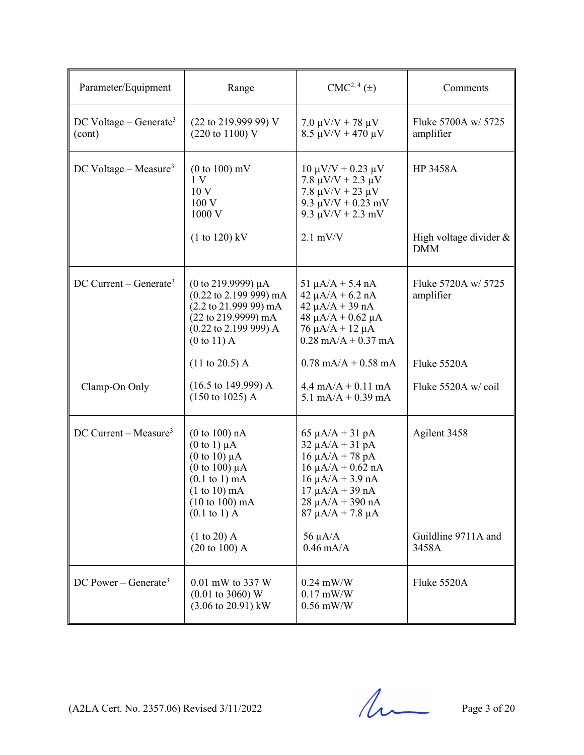| Parameter/Equipment                          | Range                                                                                                                                                                                                       | $CMC2, 4(\pm)$                                                                                                                                                                                       | Comments                                  |
|----------------------------------------------|-------------------------------------------------------------------------------------------------------------------------------------------------------------------------------------------------------------|------------------------------------------------------------------------------------------------------------------------------------------------------------------------------------------------------|-------------------------------------------|
| DC Voltage – Generate <sup>3</sup><br>(cont) | $(22 \text{ to } 219.99999)$ V<br>(220 to 1100) V                                                                                                                                                           | $7.0 \mu V/V + 78 \mu V$<br>$8.5 \mu V/V + 470 \mu V$                                                                                                                                                | Fluke 5700A w/ 5725<br>amplifier          |
| DC Voltage – Measure <sup>3</sup>            | $(0 to 100)$ mV<br>1V<br>10 <sub>V</sub><br>100V<br>1000 V<br>$(1 to 120)$ kV                                                                                                                               | $10 \mu V/V + 0.23 \mu V$<br>7.8 $\mu$ V/V + 2.3 $\mu$ V<br>$7.8 \mu V/V + 23 \mu V$<br>$9.3 \mu V/V + 0.23 \ mV$<br>9.3 $\mu$ V/V + 2.3 mV<br>$2.1$ mV/V                                            | <b>HP 3458A</b><br>High voltage divider & |
|                                              |                                                                                                                                                                                                             |                                                                                                                                                                                                      | <b>DMM</b>                                |
| $DC$ Current – Generate <sup>3</sup>         | (0 to 219.9999) $\mu$ A<br>$(0.22 \text{ to } 2.199 \text{ 999}) \text{ mA}$<br>$(2.2 \text{ to } 21.99999) \text{ mA}$<br>(22 to 219.9999) mA<br>$(0.22 \text{ to } 2.199 \text{ 999}) A$<br>$(0 to 11)$ A | $51 \mu A/A + 5.4 \ nA$<br>$42 \mu A/A + 6.2 \text{ nA}$<br>$42 \mu A/A + 39 nA$<br>$48 \mu A/A + 0.62 \mu A$<br>$76 \mu A/A + 12 \mu A$<br>$0.28$ mA/A + $0.37$ mA                                  | Fluke 5720A w/ 5725<br>amplifier          |
|                                              | $(11 \text{ to } 20.5)$ A                                                                                                                                                                                   | $0.78$ mA/A + 0.58 mA                                                                                                                                                                                | Fluke 5520A                               |
| Clamp-On Only                                | $(16.5 \text{ to } 149.999) \text{ A}$<br>$(150 \text{ to } 1025)$ A                                                                                                                                        | $4.4 \text{ mA}/A + 0.11 \text{ mA}$<br>5.1 mA/A + $0.39$ mA                                                                                                                                         | Fluke 5520A w/coil                        |
| $DC$ Current – Measure <sup>3</sup>          | (0 to 100) nA<br>$(0 \text{ to } 1) \mu A$<br>$(0 \text{ to } 10) \mu A$<br>(0 to 100) $\mu$ A<br>$(0.1 \text{ to } 1) \text{ mA}$<br>$(1 to 10)$ mA<br>$(10 to 100)$ mA<br>$(0.1 \text{ to } 1)$ A         | 65 $\mu$ A/A + 31 pA<br>$32 \mu A/A + 31 pA$<br>$16 \mu A/A + 78 pA$<br>$16 \mu A/A + 0.62 nA$<br>$16 \mu A/A + 3.9 nA$<br>$17 \mu A/A + 39 nA$<br>$28 \mu A/A + 390 nA$<br>$87 \mu A/A + 7.8 \mu A$ | Agilent 3458                              |
|                                              | $(1 to 20)$ A<br>$(20 \text{ to } 100)$ A                                                                                                                                                                   | 56 $\mu$ A/A<br>$0.46$ mA/A                                                                                                                                                                          | Guildline 9711A and<br>3458A              |
| DC Power – Generate <sup>3</sup>             | 0.01 mW to 337 W<br>$(0.01 \text{ to } 3060) \text{ W}$<br>$(3.06 \text{ to } 20.91) \text{ kW}$                                                                                                            | $0.24$ mW/W<br>$0.17$ mW/W<br>$0.56$ mW/W                                                                                                                                                            | Fluke 5520A                               |

 $(A2LA$  Cert. No. 2357.06) Revised 3/11/2022 Page 3 of 20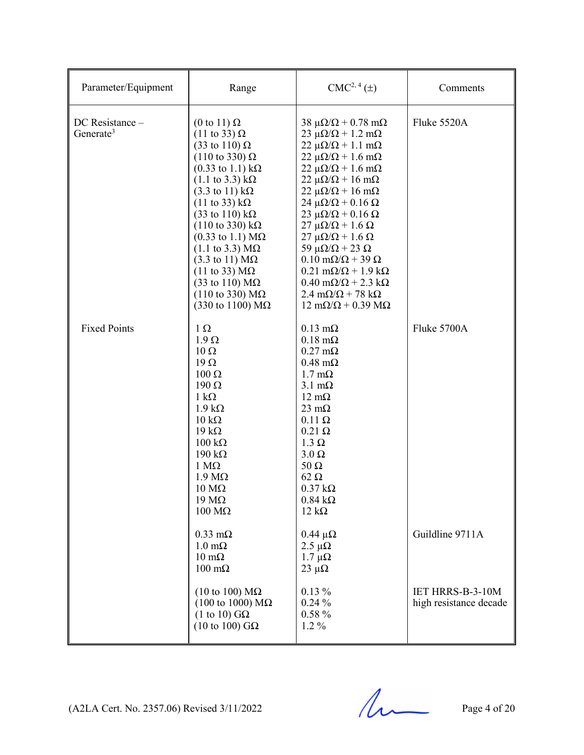| Parameter/Equipment                      | Range                                                                                                                                                                                                                                                                                                                                                                                                                                                                                                                                                                                                                                                                                           | $CMC2, 4(\pm)$                                                                                                                                                                                                                                                                                                                                                                                                                                                                                                                                                                                                                                                                                                                                                            | Comments                                          |
|------------------------------------------|-------------------------------------------------------------------------------------------------------------------------------------------------------------------------------------------------------------------------------------------------------------------------------------------------------------------------------------------------------------------------------------------------------------------------------------------------------------------------------------------------------------------------------------------------------------------------------------------------------------------------------------------------------------------------------------------------|---------------------------------------------------------------------------------------------------------------------------------------------------------------------------------------------------------------------------------------------------------------------------------------------------------------------------------------------------------------------------------------------------------------------------------------------------------------------------------------------------------------------------------------------------------------------------------------------------------------------------------------------------------------------------------------------------------------------------------------------------------------------------|---------------------------------------------------|
| DC Resistance -<br>Generate <sup>3</sup> | (0 to 11) $\Omega$<br>$(11 \text{ to } 33) \Omega$<br>$(33 \text{ to } 110) \Omega$<br>$(110 \text{ to } 330) \Omega$<br>$(0.33 \text{ to } 1.1) \text{ k}\Omega$<br>$(1.1 \text{ to } 3.3) \text{ k}\Omega$<br>$(3.3 \text{ to } 11) \text{ k}\Omega$<br>$(11 \text{ to } 33) \text{ k}\Omega$<br>$(33 \text{ to } 110) \text{ k}\Omega$<br>$(110 \text{ to } 330) \text{ k}\Omega$<br>$(0.33 \text{ to } 1.1) \text{ M}\Omega$<br>$(1.1 \text{ to } 3.3) \text{ M}\Omega$<br>$(3.3 \text{ to } 11) \text{ M}\Omega$<br>$(11 \text{ to } 33) \text{ M}\Omega$<br>$(33 \text{ to } 110) \text{ M}\Omega$<br>$(110 \text{ to } 330) \text{ M}\Omega$<br>$(330 \text{ to } 1100) \text{ M}\Omega$ | $38 \mu\Omega/\Omega + 0.78 \text{ m}\Omega$<br>$23 \mu\Omega/\Omega + 1.2 \text{ m}\Omega$<br>$22 \mu\Omega/\Omega + 1.1 \text{ m}\Omega$<br>$22 \mu\Omega/\Omega + 1.6 \text{ m}\Omega$<br>$22 \mu\Omega/\Omega + 1.6 \text{ mA}$<br>$22 \mu\Omega/\Omega + 16 \text{ mA}$<br>$22 \mu\Omega/\Omega + 16 \text{ mA}$<br>24 μ $\Omega/\Omega$ + 0.16 Ω<br>$23 \mu\Omega/\Omega$ + 0.16 $\Omega$<br>$27 \mu\Omega/\Omega + 1.6 \Omega$<br>$27 \mu\Omega/\Omega + 1.6 \Omega$<br>59 $\mu\Omega/\Omega$ + 23 $\Omega$<br>$0.10 \text{ m}\Omega/\Omega + 39 \Omega$<br>$0.21 \text{ m}\Omega/\Omega + 1.9 \text{ k}\Omega$<br>$0.40 \text{ m}\Omega/\Omega$ + 2.3 k $\Omega$<br>$2.4 \text{ m}\Omega/\Omega$ + 78 k $\Omega$<br>$12 \text{ mA}/\Omega + 0.39 \text{ M}\Omega$ | Fluke 5520A                                       |
| <b>Fixed Points</b>                      | $1 \Omega$<br>$1.9 \Omega$<br>$10\ \Omega$<br>$19\Omega$<br>$100 \Omega$<br>$190 \Omega$<br>$1 \text{ k}\Omega$<br>$1.9 \text{ k}\Omega$<br>$10 \text{ k}\Omega$<br>$19 k\Omega$<br>$100 \text{ k}\Omega$<br>$190 \text{ k}\Omega$<br>$1 M\Omega$<br>$1.9 M\Omega$<br>$10 \text{ M}\Omega$<br>$19 \text{ M}\Omega$<br>$100 \text{ M}\Omega$                                                                                                                                                                                                                                                                                                                                                     | $0.13 \text{ m}\Omega$<br>$0.18 \text{ m}\Omega$<br>$0.27 \text{ m}\Omega$<br>$0.48$ m $\Omega$<br>$1.7 \text{ mA}$<br>$3.1 \text{ mA}$<br>$12 \text{ mA}$<br>$23 \text{ mA}$<br>$0.11 \Omega$<br>$0.21 \Omega$<br>$1.3 \Omega$<br>$3.0 \Omega$<br>$50 \Omega$<br>$62 \Omega$<br>$0.37 k\Omega$<br>$0.84 \text{ k}\Omega$<br>$12 k\Omega$                                                                                                                                                                                                                                                                                                                                                                                                                                 | Fluke 5700A                                       |
|                                          | $0.33 \text{ m}\Omega$<br>$1.0 \text{ m}\Omega$<br>$10 \text{ m}\Omega$<br>$100 \text{ mA}$                                                                                                                                                                                                                                                                                                                                                                                                                                                                                                                                                                                                     | $0.44 \mu\Omega$<br>2.5 $\mu\Omega$<br>$1.7 \mu\Omega$<br>$23 \mu\Omega$                                                                                                                                                                                                                                                                                                                                                                                                                                                                                                                                                                                                                                                                                                  | Guildline 9711A                                   |
|                                          | $(10 \text{ to } 100) \text{ M}\Omega$<br>$(100 \text{ to } 1000) \text{ M}\Omega$<br>$(1 \text{ to } 10)$ GQ<br>(10 to 100) $G\Omega$                                                                                                                                                                                                                                                                                                                                                                                                                                                                                                                                                          | $0.13\%$<br>$0.24\%$<br>$0.58 \%$<br>$1.2\%$                                                                                                                                                                                                                                                                                                                                                                                                                                                                                                                                                                                                                                                                                                                              | <b>IET HRRS-B-3-10M</b><br>high resistance decade |

 $(A2LA$  Cert. No. 2357.06) Revised 3/11/2022 Page 4 of 20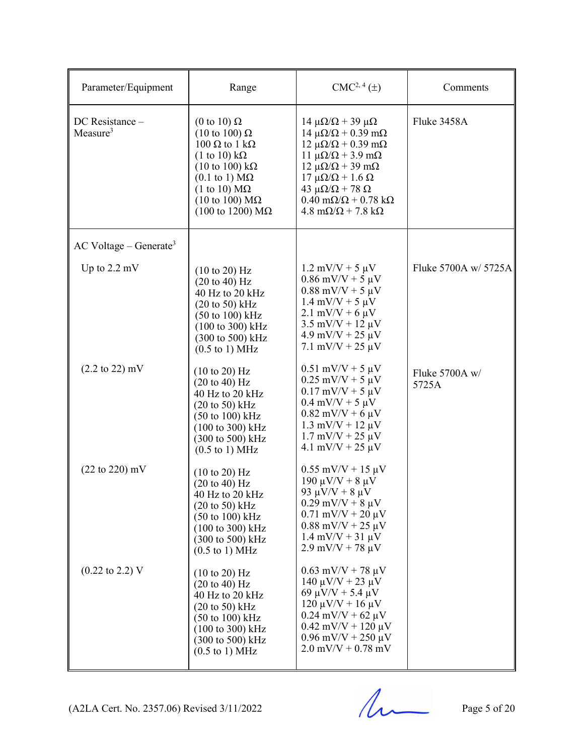| Parameter/Equipment                     | Range                                                                                                                                                                                                                                                                                                                           | $CMC2, 4(\pm)$                                                                                                                                                                                                                                                                                                                                                                                     | Comments                |
|-----------------------------------------|---------------------------------------------------------------------------------------------------------------------------------------------------------------------------------------------------------------------------------------------------------------------------------------------------------------------------------|----------------------------------------------------------------------------------------------------------------------------------------------------------------------------------------------------------------------------------------------------------------------------------------------------------------------------------------------------------------------------------------------------|-------------------------|
| DC Resistance -<br>Measure <sup>3</sup> | (0 to 10) $\Omega$<br>$(10 \text{ to } 100) \Omega$<br>$100$ Ω to 1 kΩ<br>$(1 \text{ to } 10) \text{ k}\Omega$<br>$(10 \text{ to } 100) \text{ k}\Omega$<br>$(0.1 \text{ to } 1) \text{ M}\Omega$<br>$(1 \text{ to } 10) \text{ M}\Omega$<br>$(10 \text{ to } 100) \text{ M}\Omega$<br>$(100 \text{ to } 1200) \text{ M}\Omega$ | $14 \mu\Omega/\Omega + 39 \mu\Omega$<br>$14 \mu\Omega/\Omega + 0.39 \text{ mA}$<br>$12 \mu\Omega/\Omega + 0.39 \text{ mA}$<br>11 $\mu\Omega/\Omega$ + 3.9 m $\Omega$<br>$12 \mu\Omega/\Omega + 39 \mu\Omega$<br>$17 \mu\Omega/\Omega + 1.6 \Omega$<br>43 $\mu\Omega/\Omega$ + 78 $\Omega$<br>$0.40 \text{ m}\Omega/\Omega + 0.78 \text{ k}\Omega$<br>$4.8 \text{ m}\Omega/\Omega$ + 7.8 k $\Omega$ | Fluke 3458A             |
| $AC$ Voltage – Generate <sup>3</sup>    |                                                                                                                                                                                                                                                                                                                                 |                                                                                                                                                                                                                                                                                                                                                                                                    |                         |
| Up to $2.2 \text{ mV}$                  | $(10 \text{ to } 20)$ Hz<br>$(20 \text{ to } 40) \text{ Hz}$<br>40 Hz to 20 kHz<br>$(20 \text{ to } 50)$ kHz<br>$(50 \text{ to } 100) \text{ kHz}$<br>$(100 \text{ to } 300) \text{ kHz}$<br>(300 to 500) kHz<br>$(0.5 \text{ to } 1) \text{ MHz}$                                                                              | $1.2$ mV/V + 5 $\mu$ V<br>$0.86$ mV/V + 5 $\mu$ V<br>$0.88$ mV/V + 5 $\mu$ V<br>$1.4 \text{ mV/V} + 5 \mu \text{V}$<br>$2.1 \text{ mV/V} + 6 \mu \text{V}$<br>$3.5$ mV/V + 12 $\mu$ V<br>$4.9$ mV/V + 25 $\mu$ V<br>7.1 mV/V + 25 $\mu$ V                                                                                                                                                          | Fluke 5700A w/ 5725A    |
| $(2.2 \text{ to } 22) \text{ mV}$       | $(10 \text{ to } 20)$ Hz<br>$(20 \text{ to } 40) \text{ Hz}$<br>40 Hz to 20 kHz<br>$(20 \text{ to } 50)$ kHz<br>$(50 \text{ to } 100) \text{ kHz}$<br>$(100 \text{ to } 300) \text{ kHz}$<br>$(300 \text{ to } 500) \text{ kHz}$<br>$(0.5 \text{ to } 1) \text{ MHz}$                                                           | $0.51$ mV/V + 5 $\mu$ V<br>$0.25 \text{ mV/V} + 5 \mu \text{V}$<br>$0.17 \text{ mV/V} + 5 \mu \text{V}$<br>$0.4 \text{ mV/V} + 5 \mu \text{V}$<br>$0.82$ mV/V + 6 $\mu$ V<br>$1.3$ mV/V + $12 \mu$ V<br>$1.7 \text{ mV/V} + 25 \mu \text{V}$<br>$4.1 \text{ mV/V} + 25 \text{ \mu V}$                                                                                                              | Fluke 5700A w/<br>5725A |
| $(22 \text{ to } 220) \text{ mV}$       | $(10 \text{ to } 20) \text{ Hz}$<br>$(20 \text{ to } 40) \text{ Hz}$<br>$40$ Hz to $20$ kHz<br>$(20 \text{ to } 50)$ kHz<br>$(50 \text{ to } 100) \text{ kHz}$<br>$(100 \text{ to } 300) \text{ kHz}$<br>$(300 \text{ to } 500) \text{ kHz}$<br>$(0.5 \text{ to } 1) \text{ MHz}$                                               | $0.55$ mV/V + 15 $\mu$ V<br>190 μV/V + 8 μV<br>93 μV/V + 8 μV<br>$0.29$ mV/V + 8 $\mu$ V<br>$0.71$ mV/V + 20 $\mu$ V<br>$0.88$ mV/V + 25 $\mu$ V<br>$1.4 \text{ mV/V} + 31 \text{ \mu V}$<br>$2.9 \text{ mV/V} + 78 \text{ \mu V}$                                                                                                                                                                 |                         |
| $(0.22 \text{ to } 2.2) \text{ V}$      | $(10 \text{ to } 20)$ Hz<br>(20 to 40) Hz<br>$40$ Hz to $20$ kHz<br>$(20 \text{ to } 50)$ kHz<br>$(50 \text{ to } 100) \text{ kHz}$<br>$(100 \text{ to } 300) \text{ kHz}$<br>(300 to 500) kHz<br>$(0.5 \text{ to } 1) \text{ MHz}$                                                                                             | $0.63$ mV/V + 78 $\mu$ V<br>$140 \mu V/V + 23 \mu V$<br>69 $\mu$ V/V + 5.4 $\mu$ V<br>$120 \mu V/V + 16 \mu V$<br>$0.24$ mV/V + 62 $\mu$ V<br>$0.42$ mV/V + 120 $\mu$ V<br>$0.96$ mV/V + 250 $\mu$ V<br>$2.0$ mV/V + 0.78 mV                                                                                                                                                                       |                         |

 $(A2LA$  Cert. No. 2357.06) Revised  $3/11/2022$  Page 5 of 20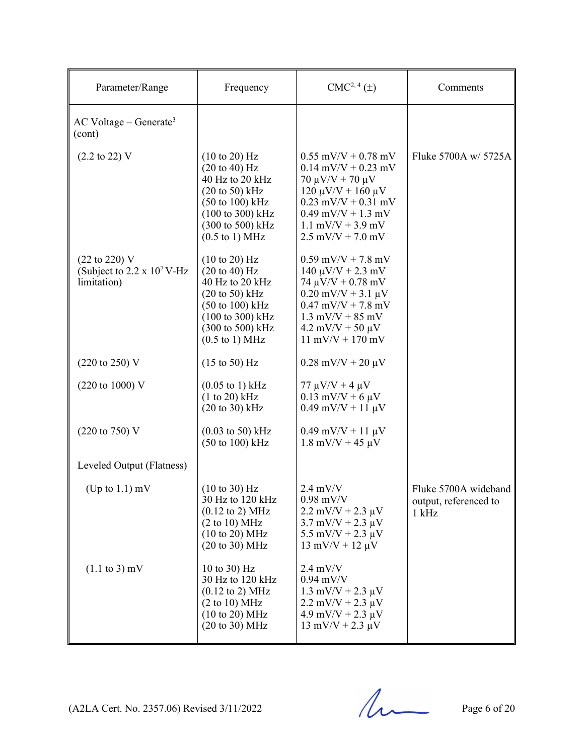| Parameter/Range                                                          | Frequency                                                                                                                                                                                                    | $CMC2, 4(\pm)$                                                                                                                                                                                                                             | Comments                                                 |
|--------------------------------------------------------------------------|--------------------------------------------------------------------------------------------------------------------------------------------------------------------------------------------------------------|--------------------------------------------------------------------------------------------------------------------------------------------------------------------------------------------------------------------------------------------|----------------------------------------------------------|
| $AC$ Voltage – Generate <sup>3</sup><br>(cont)                           |                                                                                                                                                                                                              |                                                                                                                                                                                                                                            |                                                          |
| $(2.2 \text{ to } 22)$ V                                                 | (10 to 20) Hz<br>$(20 \text{ to } 40)$ Hz<br>40 Hz to 20 kHz<br>$(20 \text{ to } 50)$ kHz<br>$(50 \text{ to } 100) \text{ kHz}$<br>(100 to 300) kHz<br>(300 to 500) kHz<br>$(0.5 \text{ to } 1) \text{ MHz}$ | $0.55$ mV/V + 0.78 mV<br>$0.14$ mV/V + 0.23 mV<br>$70 \mu V/V + 70 \mu V$<br>$120 \mu V/V + 160 \mu V$<br>$0.23$ mV/V + $0.31$ mV<br>$0.49$ mV/V + 1.3 mV<br>$1.1$ mV/V + 3.9 mV<br>$2.5$ mV/V + 7.0 mV                                    | Fluke 5700A w/ 5725A                                     |
| $(22 \text{ to } 220)$ V<br>(Subject to 2.2 x $10^7$ V-Hz<br>limitation) | (10 to 20) Hz<br>$(20 \text{ to } 40)$ Hz<br>40 Hz to 20 kHz<br>$(20 \text{ to } 50)$ kHz<br>$(50 \text{ to } 100) \text{ kHz}$<br>(100 to 300) kHz<br>(300 to 500) kHz<br>$(0.5 \text{ to } 1) \text{ MHz}$ | $0.59$ mV/V + 7.8 mV<br>$140 \mu V/V + 2.3 \text{ mV}$<br>74 $\mu$ V/V + 0.78 mV<br>$0.20$ mV/V + 3.1 $\mu$ V<br>$0.47$ mV/V + 7.8 mV<br>$1.3$ mV/V + 85 mV<br>$4.2 \text{ mV/V} + 50 \text{ \mu V}$<br>$11 \text{ mV/V} + 170 \text{ mV}$ |                                                          |
| $(220 \text{ to } 250) \text{ V}$                                        | $(15 \text{ to } 50) \text{ Hz}$                                                                                                                                                                             | $0.28$ mV/V + 20 $\mu$ V                                                                                                                                                                                                                   |                                                          |
| $(220 \text{ to } 1000) \text{ V}$                                       | $(0.05 \text{ to } 1) \text{ kHz}$<br>$(1 to 20)$ kHz<br>$(20 \text{ to } 30)$ kHz                                                                                                                           | $77 \mu V/V + 4 \mu V$<br>$0.13$ mV/V + 6 $\mu$ V<br>$0.49$ mV/V + 11 $\mu$ V                                                                                                                                                              |                                                          |
| $(220 \text{ to } 750) \text{ V}$                                        | $(0.03 \text{ to } 50) \text{ kHz}$<br>$(50 \text{ to } 100) \text{ kHz}$                                                                                                                                    | $0.49$ mV/V + 11 $\mu$ V<br>$1.8$ mV/V + 45 $\mu$ V                                                                                                                                                                                        |                                                          |
| Leveled Output (Flatness)                                                |                                                                                                                                                                                                              |                                                                                                                                                                                                                                            |                                                          |
| (Up to $1.1$ ) mV                                                        | $(10 \text{ to } 30)$ Hz<br>30 Hz to 120 kHz<br>$(0.12 \text{ to } 2) \text{ MHz}$<br>(2 to 10) MHz<br>(10 to 20) MHz<br>(20 to 30) MHz                                                                      | $2.4$ mV/V<br>$0.98$ mV/V<br>$2.2 \text{ mV/V} + 2.3 \text{ }\mu\text{V}$<br>$3.7 \text{ mV/V} + 2.3 \text{ \mu V}$<br>5.5 mV/V + 2.3 $\mu$ V<br>$13 \text{ mV/V} + 12 \text{ \mu V}$                                                      | Fluke 5700A wideband<br>output, referenced to<br>$1$ kHz |
| $(1.1 \text{ to } 3) \text{ mV}$                                         | 10 to 30) Hz<br>30 Hz to 120 kHz<br>$(0.12 \text{ to } 2) \text{ MHz}$<br>(2 to 10) MHz<br>(10 to 20) MHz<br>(20 to 30) MHz                                                                                  | $2.4 \text{ mV/V}$<br>$0.94$ mV/V<br>$1.3$ mV/V + 2.3 $\mu$ V<br>$2.2 \text{ mV/V} + 2.3 \text{ \mu V}$<br>$4.9$ mV/V + 2.3 $\mu$ V<br>$13 \text{ mV/V} + 2.3 \text{ µV}$                                                                  |                                                          |

(A2LA Cert. No. 2357.06) Revised 3/11/2022 Page 6 of 20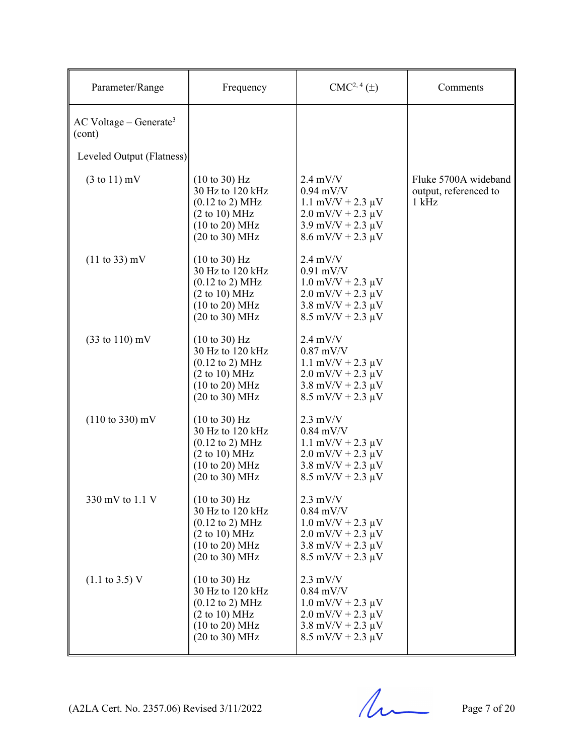| Parameter/Range                                | Frequency                                                                                                                                                  | $CMC2, 4(\pm)$                                                                                                                                                        | Comments                                                 |
|------------------------------------------------|------------------------------------------------------------------------------------------------------------------------------------------------------------|-----------------------------------------------------------------------------------------------------------------------------------------------------------------------|----------------------------------------------------------|
| $AC$ Voltage – Generate <sup>3</sup><br>(cont) |                                                                                                                                                            |                                                                                                                                                                       |                                                          |
| Leveled Output (Flatness)                      |                                                                                                                                                            |                                                                                                                                                                       |                                                          |
| $(3 \text{ to } 11)$ mV                        | $(10 \text{ to } 30)$ Hz<br>30 Hz to 120 kHz<br>$(0.12 \text{ to } 2) \text{ MHz}$<br>(2 to 10) MHz<br>(10 to 20) MHz<br>$(20 \text{ to } 30) \text{ MHz}$ | $2.4 \text{ mV/V}$<br>$0.94$ mV/V<br>$1.1$ mV/V + 2.3 $\mu$ V<br>$2.0$ mV/V + $2.3 \mu$ V<br>$3.9 \text{ mV/V} + 2.3 \text{ }\mu\text{V}$<br>$8.6$ mV/V + 2.3 $\mu$ V | Fluke 5700A wideband<br>output, referenced to<br>$1$ kHz |
| $(11 \text{ to } 33) \text{ mV}$               | (10 to 30) Hz<br>30 Hz to 120 kHz<br>$(0.12 \text{ to } 2) \text{ MHz}$<br>(2 to 10) MHz<br>(10 to 20) MHz<br>$(20 \text{ to } 30) \text{ MHz}$            | $2.4$ mV/V<br>$0.91$ mV/V<br>$1.0$ mV/V + 2.3 $\mu$ V<br>$2.0$ mV/V + 2.3 $\mu$ V<br>$3.8 \text{ mV/V} + 2.3 \text{ }\mu\text{V}$<br>$8.5$ mV/V + 2.3 $\mu$ V         |                                                          |
| $(33 \text{ to } 110) \text{ mV}$              | $(10 \text{ to } 30)$ Hz<br>30 Hz to 120 kHz<br>$(0.12 \text{ to } 2) \text{ MHz}$<br>(2 to 10) MHz<br>(10 to 20) MHz<br>$(20 \text{ to } 30) \text{ MHz}$ | $2.4$ mV/V<br>$0.87$ mV/V<br>$1.1$ mV/V + 2.3 $\mu$ V<br>$2.0$ mV/V + $2.3 \mu$ V<br>$3.8 \text{ mV/V} + 2.3 \text{ }\mu\text{V}$<br>$8.5$ mV/V + 2.3 $\mu$ V         |                                                          |
| $(110 \text{ to } 330) \text{ mV}$             | (10 to 30) Hz<br>30 Hz to 120 kHz<br>$(0.12 \text{ to } 2) \text{ MHz}$<br>(2 to 10) MHz<br>(10 to 20) MHz<br>$(20 \text{ to } 30) \text{ MHz}$            | $2.3$ mV/V<br>$0.84$ mV/V<br>$1.1$ mV/V + 2.3 $\mu$ V<br>$2.0$ mV/V + 2.3 $\mu$ V<br>$3.8 \text{ mV/V} + 2.3 \text{ }\mu\text{V}$<br>$8.5$ mV/V + 2.3 $\mu$ V         |                                                          |
| 330 mV to 1.1 V                                | $(10 \text{ to } 30)$ Hz<br>30 Hz to 120 kHz<br>$(0.12 \text{ to } 2) \text{ MHz}$<br>(2 to 10) MHz<br>(10 to 20) MHz<br>(20 to 30) MHz                    | $2.3 \text{ mV/V}$<br>$0.84$ mV/V<br>$1.0$ mV/V + 2.3 $\mu$ V<br>$2.0$ mV/V + $2.3 \mu$ V<br>$3.8 \text{ mV/V} + 2.3 \text{ \mu V}$<br>$8.5$ mV/V + 2.3 $\mu$ V       |                                                          |
| $(1.1 \text{ to } 3.5) \text{ V}$              | $(10 \text{ to } 30)$ Hz<br>30 Hz to 120 kHz<br>$(0.12 \text{ to } 2) \text{ MHz}$<br>(2 to 10) MHz<br>(10 to 20) MHz<br>$(20 \text{ to } 30) \text{ MHz}$ | $2.3$ mV/V<br>$0.84$ mV/V<br>$1.0$ mV/V + 2.3 $\mu$ V<br>$2.0$ mV/V + $2.3 \mu$ V<br>$3.8 \text{ mV/V} + 2.3 \text{ }\mu\text{V}$<br>$8.5$ mV/V + 2.3 $\mu$ V         |                                                          |

 $(A2LA$  Cert. No. 2357.06) Revised 3/11/2022 Page 7 of 20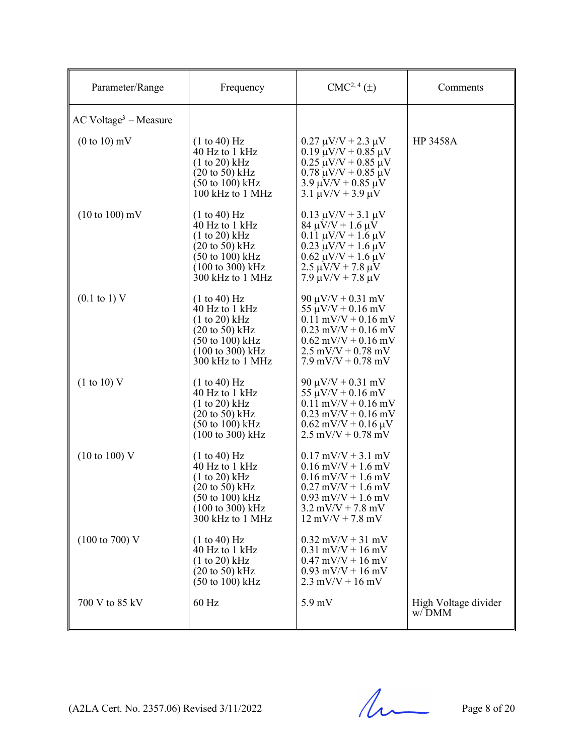| Parameter/Range                     | Frequency                                                                                                                                                                                 | $CMC2, 4(\pm)$                                                                                                                                                                                             | Comments                      |
|-------------------------------------|-------------------------------------------------------------------------------------------------------------------------------------------------------------------------------------------|------------------------------------------------------------------------------------------------------------------------------------------------------------------------------------------------------------|-------------------------------|
| $AC$ Voltage <sup>3</sup> – Measure |                                                                                                                                                                                           |                                                                                                                                                                                                            |                               |
| $(0 \text{ to } 10)$ mV             | (1 to 40) Hz<br>40 Hz to 1 kHz<br>(1 to 20) kHz<br>$(20 \text{ to } 50) \text{ kHz}$<br>$(50 \text{ to } 100) \text{ kHz}$<br>100 kHz to 1 MHz                                            | $0.27 \mu V/V + 2.3 \mu V$<br>$0.19 \mu V/V + 0.85 \mu V$<br>$0.25 \mu V/V + 0.85 \mu V$<br>$0.78 \mu V/V + 0.85 \mu V$<br>$3.9 \mu V/V + 0.85 \mu V$<br>$3.1 \mu V/V + 3.9 \mu V$                         | <b>HP 3458A</b>               |
| $(10 \text{ to } 100) \text{ mV}$   | (1 to 40) Hz<br>40 Hz to 1 kHz<br>$(1 to 20)$ kHz<br>$(20 \text{ to } 50) \text{ kHz}$<br>$(50 \text{ to } 100) \text{ kHz}$<br>$(100 \text{ to } 300) \text{ kHz}$<br>300 kHz to 1 MHz   | $0.13 \mu V/V + 3.1 \mu V$<br>$84 \mu V/V + 1.6 \mu V$<br>$0.11 \mu V/V + 1.6 \mu V$<br>$0.23 \mu V/V + 1.6 \mu V$<br>$0.62 \mu V/V + 1.6 \mu V$<br>$2.5 \mu V/V + 7.8 \mu V$<br>$7.9 \mu V/V + 7.8 \mu V$ |                               |
| $(0.1 \text{ to } 1) \text{ V}$     | (1 to 40) Hz<br>40 Hz to 1 kHz<br>(1 to 20) kHz<br>$(20 \text{ to } 50)$ kHz<br>$(50 \text{ to } 100) \text{ kHz}$<br>$(100 \text{ to } 300) \text{ kHz}$<br>$300$ kHz to $1$ MHz         | $90 \mu V/V + 0.31 \ mV$<br>$55 \mu V/V + 0.16 \text{ mV}$<br>$0.11$ mV/V + 0.16 mV<br>$0.23$ mV/V + 0.16 mV<br>$0.62$ mV/V + $0.16$ mV<br>$2.5$ mV/V + 0.78 mV<br>$7.9 \text{ mV/V} + 0.78 \text{ mV}$    |                               |
| (1 to 10) V                         | (1 to 40) Hz<br>40 Hz to 1 kHz<br>(1 to 20) kHz<br>$(20 \text{ to } 50)$ kHz<br>$(50 \text{ to } 100) \text{ kHz}$<br>$(100 \text{ to } 300) \text{ kHz}$                                 | $90 \mu V/V + 0.31 \ mV$<br>$55 \mu V/V + 0.16 \ mV$<br>$0.11$ mV/V + $0.16$ mV<br>$0.23$ mV/V + 0.16 mV<br>$0.62$ mV/V + $0.16 \mu$ V<br>$2.5$ mV/V + 0.78 mV                                             |                               |
| $(10 \text{ to } 100) \text{ V}$    | (1 to 40) Hz<br>40 Hz to 1 kHz<br>(1 to 20) kHz<br>$(20 \text{ to } 50) \text{ kHz}$<br>$(50 \text{ to } 100) \text{ kHz}$<br>$(100 \text{ to } 300) \text{ kHz}$<br>$300$ kHz to $1$ MHz | $0.17$ mV/V + 3.1 mV<br>$0.16$ mV/V + 1.6 mV<br>$0.16$ mV/V + 1.6 mV<br>$0.27$ mV/V + 1.6 mV<br>$0.93$ mV/V + 1.6 mV<br>$3.2$ mV/V + 7.8 mV<br>$12 \text{ mV/V} + 7.8 \text{ mV}$                          |                               |
| $(100 \text{ to } 700) \text{ V}$   | (1 to 40) Hz<br>$\overline{40}$ Hz to 1 kHz<br>(1 to 20) kHz<br>$(20 \text{ to } 50)$ kHz<br>$(50 \text{ to } 100) \text{ kHz}$                                                           | $0.32$ mV/V + 31 mV<br>$0.31$ mV/V + 16 mV<br>$0.47 \text{ mV/V} + 16 \text{ mV}$<br>$0.93$ mV/V + 16 mV<br>$2.3$ mV/V + 16 mV                                                                             |                               |
| 700 V to 85 kV                      | 60 Hz                                                                                                                                                                                     | $5.9 \text{ mV}$                                                                                                                                                                                           | High Voltage divider<br>w/DMM |

(A2LA Cert. No. 2357.06) Revised 3/11/2022 Page 8 of 20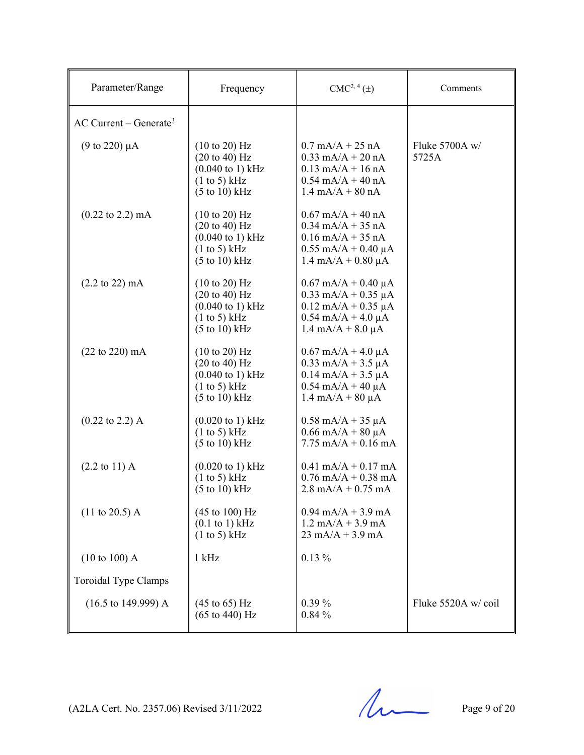| Parameter/Range                        | Frequency                                                                                                                                       | $CMC2, 4(\pm)$                                                                                                                                | Comments                |
|----------------------------------------|-------------------------------------------------------------------------------------------------------------------------------------------------|-----------------------------------------------------------------------------------------------------------------------------------------------|-------------------------|
| $AC$ Current – Generate <sup>3</sup>   |                                                                                                                                                 |                                                                                                                                               |                         |
| $(9 \text{ to } 220) \mu A$            | $(10 \text{ to } 20)$ Hz<br>$(20 \text{ to } 40)$ Hz<br>$(0.040 \text{ to } 1) \text{ kHz}$<br>(1 to 5) kHz<br>$(5 \text{ to } 10) \text{ kHz}$ | $0.7 \text{ mA/A} + 25 \text{ nA}$<br>$0.33$ mA/A + 20 nA<br>$0.13$ mA/A + 16 nA<br>$0.54$ mA/A + 40 nA<br>$1.4 \text{ mA}/A + 80 \text{ nA}$ | Fluke 5700A w/<br>5725A |
| $(0.22 \text{ to } 2.2) \text{ mA}$    | $(10 \text{ to } 20)$ Hz<br>$(20 \text{ to } 40)$ Hz<br>$(0.040 \text{ to } 1) \text{ kHz}$<br>(1 to 5) kHz<br>$(5 \text{ to } 10) \text{ kHz}$ | $0.67$ mA/A + 40 nA<br>$0.34$ mA/A + 35 nA<br>$0.16$ mA/A + 35 nA<br>$0.55$ mA/A + 0.40 µA<br>$1.4 \text{ mA/A} + 0.80 \mu\text{A}$           |                         |
| $(2.2 \text{ to } 22) \text{ mA}$      | $(10 \text{ to } 20)$ Hz<br>$(20 \text{ to } 40)$ Hz<br>$(0.040 \text{ to } 1) \text{ kHz}$<br>(1 to 5) kHz<br>$(5 \text{ to } 10) \text{ kHz}$ | $0.67$ mA/A + 0.40 µA<br>$0.33$ mA/A + 0.35 µA<br>$0.12$ mA/A + 0.35 µA<br>$0.54$ mA/A + 4.0 $\mu$ A<br>$1.4 \text{ mA}/A + 8.0 \mu A$        |                         |
| $(22 \text{ to } 220) \text{ mA}$      | (10 to 20) Hz<br>$(20 \text{ to } 40)$ Hz<br>$(0.040 \text{ to } 1) \text{ kHz}$<br>(1 to 5) kHz<br>$(5 \text{ to } 10) \text{ kHz}$            | $0.67$ mA/A + 4.0 µA<br>$0.33$ mA/A + 3.5 $\mu$ A<br>$0.14$ mA/A + 3.5 µA<br>$0.54$ mA/A + 40 µA<br>$1.4 \text{ mA}/A + 80 \mu A$             |                         |
| $(0.22 \text{ to } 2.2)$ A             | $(0.020 \text{ to } 1) \text{ kHz}$<br>(1 to 5) kHz<br>$(5 \text{ to } 10) \text{ kHz}$                                                         | $0.58$ mA/A + 35 µA<br>$0.66$ mA/A + 80 µA<br>$7.75 \text{ mA/A} + 0.16 \text{ mA}$                                                           |                         |
| $(2.2 \text{ to } 11) \text{ A}$       | $(0.020 \text{ to } 1) \text{ kHz}$<br>(1 to 5) kHz<br>$(5 \text{ to } 10) \text{ kHz}$                                                         | $0.41$ mA/A + $0.17$ mA<br>$0.76$ mA/A + 0.38 mA<br>$2.8 \text{ mA/A} + 0.75 \text{ mA}$                                                      |                         |
| $(11 \text{ to } 20.5)$ A              | $(45 \text{ to } 100) \text{ Hz}$<br>$(0.1$ to 1) kHz<br>(1 to 5) kHz                                                                           | $0.94$ mA/A + 3.9 mA<br>$1.2$ mA/A + 3.9 mA<br>$23 \text{ mA/A} + 3.9 \text{ mA}$                                                             |                         |
| (10 to 100) A                          | $1$ kHz                                                                                                                                         | $0.13\%$                                                                                                                                      |                         |
| Toroidal Type Clamps                   |                                                                                                                                                 |                                                                                                                                               |                         |
| $(16.5 \text{ to } 149.999) \text{ A}$ | $(45 \text{ to } 65) \text{ Hz}$<br>$(65 \text{ to } 440) \text{ Hz}$                                                                           | $0.39\%$<br>0.84%                                                                                                                             | Fluke 5520A w/coil      |

 $(A2LA$  Cert. No. 2357.06) Revised 3/11/2022 Page 9 of 20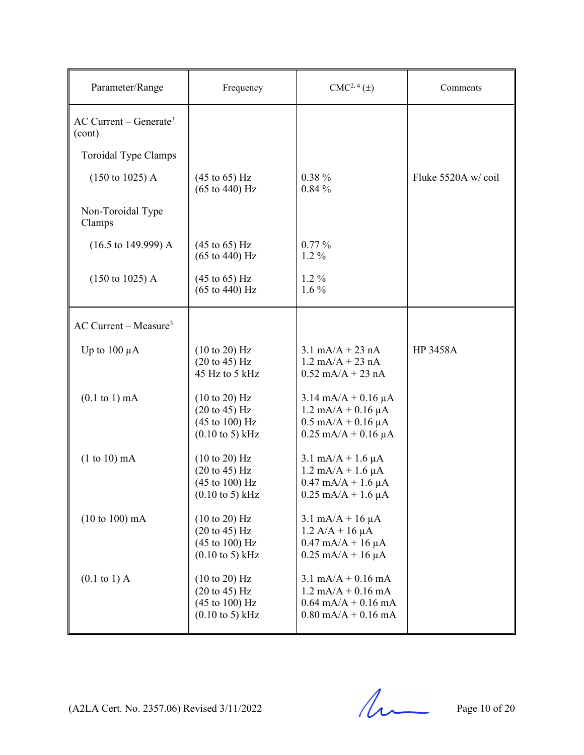| Parameter/Range                                | Frequency                                                                                                                               | $CMC2, 4(\pm)$                                                                                                                                         | Comments           |
|------------------------------------------------|-----------------------------------------------------------------------------------------------------------------------------------------|--------------------------------------------------------------------------------------------------------------------------------------------------------|--------------------|
| $AC$ Current – Generate <sup>3</sup><br>(cont) |                                                                                                                                         |                                                                                                                                                        |                    |
| Toroidal Type Clamps                           |                                                                                                                                         |                                                                                                                                                        |                    |
| $(150 \text{ to } 1025)$ A                     | $(45 \text{ to } 65) \text{ Hz}$<br>$(65 \text{ to } 440) \text{ Hz}$                                                                   | $0.38 \%$<br>0.84%                                                                                                                                     | Fluke 5520A w/coil |
| Non-Toroidal Type<br>Clamps                    |                                                                                                                                         |                                                                                                                                                        |                    |
| $(16.5 \text{ to } 149.999) \text{ A}$         | $(45 \text{ to } 65) \text{ Hz}$<br>$(65 \text{ to } 440) \text{ Hz}$                                                                   | $0.77\%$<br>$1.2\%$                                                                                                                                    |                    |
| $(150 \text{ to } 1025)$ A                     | $(45 \text{ to } 65) \text{ Hz}$<br>$(65 \text{ to } 440) \text{ Hz}$                                                                   | $1.2\%$<br>$1.6\%$                                                                                                                                     |                    |
| $AC$ Current – Measure <sup>3</sup>            |                                                                                                                                         |                                                                                                                                                        |                    |
| Up to $100 \mu A$                              | (10 to 20) Hz<br>$(20 \text{ to } 45) \text{ Hz}$<br>45 Hz to 5 kHz                                                                     | $3.1 \text{ mA/A} + 23 \text{ nA}$<br>$1.2 \text{ mA/A} + 23 \text{ nA}$<br>$0.52$ mA/A + 23 nA                                                        | <b>HP 3458A</b>    |
| $(0.1 \text{ to } 1) \text{ mA}$               | (10 to 20) Hz<br>$(20 \text{ to } 45) \text{ Hz}$<br>$(45 \text{ to } 100) \text{ Hz}$<br>$(0.10 \text{ to } 5) \text{ kHz}$            | $3.14 \text{ mA/A} + 0.16 \mu\text{A}$<br>$1.2 \text{ mA/A} + 0.16 \mu\text{A}$<br>$0.5 \text{ mA/A} + 0.16 \mu\text{A}$<br>$0.25$ mA/A + 0.16 $\mu$ A |                    |
| $(1 to 10)$ mA                                 | (10 to 20) Hz<br>$(20 \text{ to } 45) \text{ Hz}$<br>(45 to 100) Hz<br>$(0.10 \text{ to } 5) \text{ kHz}$                               | $3.1 \text{ mA/A} + 1.6 \mu\text{A}$<br>$1.2 \text{ mA/A} + 1.6 \mu\text{A}$<br>$0.47$ mA/A + 1.6 $\mu$ A<br>$0.25$ mA/A + 1.6 $\mu$ A                 |                    |
| $(10 to 100)$ mA                               | (10 to 20) Hz<br>$(20 \text{ to } 45) \text{ Hz}$<br>$(45 \text{ to } 100) \text{ Hz}$<br>$(0.10 \text{ to } 5) \text{ kHz}$            | $3.1 \text{ mA/A} + 16 \mu\text{A}$<br>$1.2 A/A + 16 \mu A$<br>$0.47$ mA/A + 16 $\mu$ A<br>$0.25$ mA/A + 16 $\mu$ A                                    |                    |
| $(0.1 \text{ to } 1)$ A                        | $(10 \text{ to } 20)$ Hz<br>$(20 \text{ to } 45) \text{ Hz}$<br>$(45 \text{ to } 100) \text{ Hz}$<br>$(0.10 \text{ to } 5) \text{ kHz}$ | $3.1 \text{ mA/A} + 0.16 \text{ mA}$<br>$1.2 \text{ mA/A} + 0.16 \text{ mA}$<br>$0.64$ mA/A + $0.16$ mA<br>$0.80$ mA/A + $0.16$ mA                     |                    |

 $(A2LA$  Cert. No. 2357.06) Revised 3/11/2022 Page 10 of 20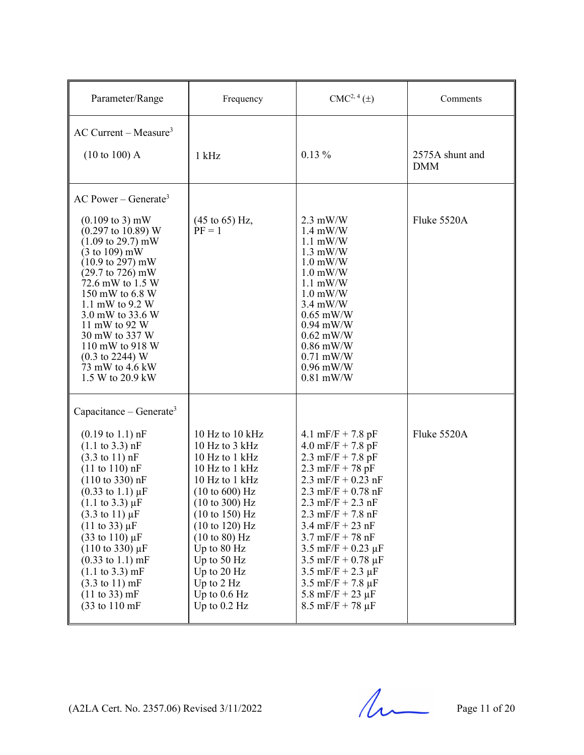| Parameter/Range                                                                                                                                                                                                                                                                                                                                                                                                                                                                                                                                                                                         | Frequency                                                                                                                                                                                                                                                                                             | CMC <sup>2, 4</sup> (±)                                                                                                                                                                                                                                                                                                                                                                                                                                                  | Comments                      |
|---------------------------------------------------------------------------------------------------------------------------------------------------------------------------------------------------------------------------------------------------------------------------------------------------------------------------------------------------------------------------------------------------------------------------------------------------------------------------------------------------------------------------------------------------------------------------------------------------------|-------------------------------------------------------------------------------------------------------------------------------------------------------------------------------------------------------------------------------------------------------------------------------------------------------|--------------------------------------------------------------------------------------------------------------------------------------------------------------------------------------------------------------------------------------------------------------------------------------------------------------------------------------------------------------------------------------------------------------------------------------------------------------------------|-------------------------------|
| $AC$ Current – Measure <sup>3</sup><br>$(10 \text{ to } 100)$ A                                                                                                                                                                                                                                                                                                                                                                                                                                                                                                                                         | $1$ kHz                                                                                                                                                                                                                                                                                               | $0.13\%$                                                                                                                                                                                                                                                                                                                                                                                                                                                                 | 2575A shunt and<br><b>DMM</b> |
| $AC Power - Generate3$                                                                                                                                                                                                                                                                                                                                                                                                                                                                                                                                                                                  |                                                                                                                                                                                                                                                                                                       |                                                                                                                                                                                                                                                                                                                                                                                                                                                                          |                               |
| $(0.109 \text{ to } 3) \text{ mW}$<br>$(0.297 \text{ to } 10.89) \text{ W}$<br>$(1.09 \text{ to } 29.7) \text{ mW}$<br>$(3 \text{ to } 109) \text{ mW}$<br>$(10.9 \text{ to } 297) \text{ mW}$<br>$(29.7 \text{ to } 726) \text{ mW}$<br>72.6 mW to 1.5 W<br>150 mW to 6.8 W<br>1.1 mW to 9.2 W<br>3.0 mW to 33.6 W<br>11 mW to 92 W<br>30 mW to 337 W<br>110 mW to 918 W<br>$(0.3 \text{ to } 2244) \text{ W}$<br>73 mW to 4.6 kW<br>1.5 W to 20.9 kW                                                                                                                                                  | $(45 \text{ to } 65) \text{ Hz},$<br>$PF = 1$                                                                                                                                                                                                                                                         | $2.3$ mW/W<br>$1.4 \text{ mW/W}$<br>$1.1$ mW/W<br>$1.3$ mW/W<br>$1.0$ mW/W<br>$1.0$ mW/W<br>$1.1$ mW/W<br>$1.0$ mW/W<br>$3.4$ mW/W<br>$0.65$ mW/W<br>$0.94$ mW/W<br>$0.62$ mW/W<br>$0.86$ mW/W<br>$0.71$ mW/W<br>$0.96$ mW/W<br>$0.81$ mW/W                                                                                                                                                                                                                              | Fluke 5520A                   |
| Capacitance – Generate <sup>3</sup>                                                                                                                                                                                                                                                                                                                                                                                                                                                                                                                                                                     |                                                                                                                                                                                                                                                                                                       |                                                                                                                                                                                                                                                                                                                                                                                                                                                                          |                               |
| $(0.19 \text{ to } 1.1) \text{ nF}$<br>$(1.1 \text{ to } 3.3) \text{ nF}$<br>$(3.3 \text{ to } 11) \text{ nF}$<br>$(11 \text{ to } 110) \text{ nF}$<br>$(110 \text{ to } 330) \text{ nF}$<br>$(0.33 \text{ to } 1.1) \mu F$<br>$(1.1 \text{ to } 3.3) \mu F$<br>$(3.3 \text{ to } 11) \,\mu\text{F}$<br>$(11 \text{ to } 33) \mu F$<br>$(33 \text{ to } 110) \,\mu\text{F}$<br>$(110 \text{ to } 330) \mu F$<br>$(0.33 \text{ to } 1.1) \text{ mF}$<br>$(1.1 \text{ to } 3.3) \text{ mF}$<br>$(3.3 \text{ to } 11) \text{ mF}$<br>$(11 \text{ to } 33) \text{ mF}$<br>$(33 \text{ to } 110 \text{ mF})$ | 10 Hz to 10 kHz<br>10 Hz to 3 kHz<br>10 Hz to 1 kHz<br>10 Hz to 1 kHz<br>10 Hz to 1 kHz<br>(10 to 600) Hz<br>$(10 \text{ to } 300)$ Hz<br>(10 to 150) Hz<br>(10 to 120) Hz<br>$(10 \text{ to } 80)$ Hz<br>Up to 80 Hz<br>Up to 50 Hz<br>Up to 20 Hz<br>Up to 2 Hz<br>Up to $0.6$ Hz<br>Up to $0.2$ Hz | 4.1 mF/F + 7.8 pF<br>$4.0 \text{ mF/F} + 7.8 \text{ pF}$<br>2.3 mF/F + 7.8 pF<br>2.3 mF/F + 78 pF<br>2.3 mF/F + $0.23$ nF<br>2.3 mF/F + $0.78$ nF<br>$2.3$ mF/F + $2.3$ nF<br>$2.3$ mF/F + 7.8 nF<br>$3.4$ mF/F + 23 nF<br>$3.7 \text{ mF/F} + 78 \text{ nF}$<br>$3.5$ mF/F + 0.23 $\mu$ F<br>$3.5$ mF/F + 0.78 $\mu$ F<br>$3.5 \text{ mF/F} + 2.3 \text{ µF}$<br>$3.5 \text{ mF/F} + 7.8 \mu \text{F}$<br>5.8 mF/F + 23 $\mu$ F<br>$8.5 \text{ mF/F} + 78 \mu \text{F}$ | Fluke 5520A                   |

(A2LA Cert. No. 2357.06) Revised 3/11/2022 Page 11 of 20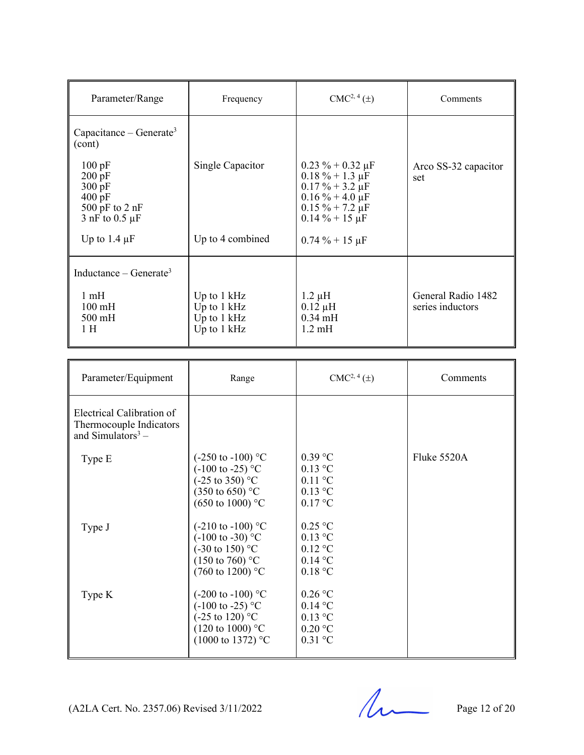| Parameter/Range                                                                                          | Frequency                                                    | $CMC2, 4(\pm)$                                                                                                                                      | Comments                               |
|----------------------------------------------------------------------------------------------------------|--------------------------------------------------------------|-----------------------------------------------------------------------------------------------------------------------------------------------------|----------------------------------------|
| Capacitance – Generate <sup>3</sup><br>(cont)                                                            |                                                              |                                                                                                                                                     |                                        |
| 100 pF<br>$200 \overline{pF}$<br>300 pF<br>$400 \text{ pF}$<br>500 pF to $2$ nF<br>$3$ nF to 0.5 $\mu$ F | Single Capacitor                                             | $0.23 \% + 0.32 \mu F$<br>$0.18 \% + 1.3 \mu F$<br>$0.17 \% + 3.2 \mu F$<br>$0.16\% + 4.0 \,\mu F$<br>$0.15 \% + 7.2 \mu F$<br>$0.14 \% + 15 \mu F$ | Arco SS-32 capacitor<br>set            |
| Up to 1.4 $\mu$ F                                                                                        | Up to 4 combined                                             | $0.74\% + 15 \,\mu F$                                                                                                                               |                                        |
| Inductance – Generate <sup>3</sup>                                                                       |                                                              |                                                                                                                                                     |                                        |
| $1 \text{ mH}$<br>$100 \text{ mH}$<br>$500 \text{ mH}$<br>1H                                             | Up to $1$ kHz<br>Up to $1$ kHz<br>Up to 1 kHz<br>Up to 1 kHz | $1.2 \mu H$<br>$0.12 \mu H$<br>$0.34$ mH<br>$1.2 \text{ mH}$                                                                                        | General Radio 1482<br>series inductors |

| Parameter/Equipment                                                                   | Range                                                                                                                                                                                                                 | CMC <sup>2, 4</sup> (±)                                                                 | Comments    |
|---------------------------------------------------------------------------------------|-----------------------------------------------------------------------------------------------------------------------------------------------------------------------------------------------------------------------|-----------------------------------------------------------------------------------------|-------------|
| Electrical Calibration of<br>Thermocouple Indicators<br>and Simulators <sup>3</sup> – |                                                                                                                                                                                                                       |                                                                                         |             |
| Type E<br>Type J                                                                      | $(-250 \text{ to } -100)$ °C<br>$(-100 \text{ to } -25)$ °C<br>$(-25 \text{ to } 350)$ °C<br>$(350 \text{ to } 650)$ °C<br>$(650 \text{ to } 1000)$ °C<br>$(-210 \text{ to } -100)$ °C<br>$(-100 \text{ to } -30)$ °C | $0.39$ °C<br>$0.13$ °C<br>$0.11$ °C<br>$0.13$ °C<br>$0.17$ °C<br>$0.25$ °C<br>$0.13$ °C | Fluke 5520A |
|                                                                                       | $(-30 \text{ to } 150)$ °C<br>$(150 \text{ to } 760)$ °C<br>$(760 \text{ to } 1200)$ °C                                                                                                                               | $0.12$ °C<br>$0.14$ °C<br>0.18 °C                                                       |             |
| Type K                                                                                | $(-200 \text{ to } -100)$ °C<br>$(-100 \text{ to } -25)$ °C<br>$(-25 \text{ to } 120)$ °C<br>$(120 \text{ to } 1000)$ °C<br>$(1000 \text{ to } 1372)$ °C                                                              | $0.26$ °C<br>$0.14$ °C<br>$0.13$ °C<br>$0.20$ °C<br>$0.31$ °C                           |             |

(A2LA Cert. No. 2357.06) Revised 3/11/2022 Page 12 of 20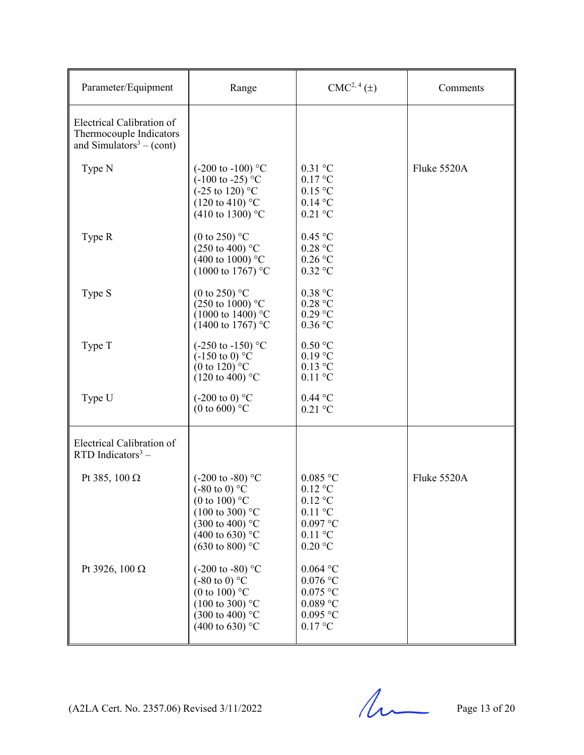| Parameter/Equipment                                                                          | Range                                                                                                                                                                                                     | $CMC2, 4(\pm)$                                                                                                           | Comments    |
|----------------------------------------------------------------------------------------------|-----------------------------------------------------------------------------------------------------------------------------------------------------------------------------------------------------------|--------------------------------------------------------------------------------------------------------------------------|-------------|
| Electrical Calibration of<br>Thermocouple Indicators<br>and Simulators <sup>3</sup> – (cont) |                                                                                                                                                                                                           |                                                                                                                          |             |
| Type N                                                                                       | $(-200 \text{ to } -100)$ °C<br>$(-100 \text{ to } -25)$ °C<br>$(-25 \text{ to } 120)$ °C<br>$(120 \text{ to } 410)$ °C<br>(410 to 1300) $^{\circ}$ C                                                     | $0.31$ °C<br>$0.17$ °C<br>$0.15$ °C<br>$0.14$ °C<br>$0.21$ °C                                                            | Fluke 5520A |
| Type R                                                                                       | (0 to 250) $^{\circ}$ C<br>$(250 \text{ to } 400)$ °C<br>(400 to 1000) $^{\circ}$ C<br>$(1000 \text{ to } 1767)$ °C                                                                                       | $0.45$ °C<br>$0.28$ °C<br>$0.26$ °C<br>$0.32$ °C                                                                         |             |
| Type S                                                                                       | (0 to 250) $^{\circ}$ C<br>$(250 \text{ to } 1000)$ °C<br>$(1000 \text{ to } 1400)$ °C<br>$(1400 \text{ to } 1767)$ °C                                                                                    | 0.38 °C<br>0.28 °C<br>$0.29$ °C<br>$0.36$ °C                                                                             |             |
| Type T                                                                                       | $(-250 \text{ to } -150)$ °C<br>$(-150 \text{ to } 0)$ °C<br>(0 to 120) $^{\circ}$ C<br>$(120 \text{ to } 400)$ °C                                                                                        | $0.50$ °C<br>$0.19$ °C<br>$0.13$ °C<br>$0.11$ °C                                                                         |             |
| Type U                                                                                       | $(-200 \text{ to } 0)$ °C<br>(0 to 600) $^{\circ}$ C                                                                                                                                                      | $0.44$ °C<br>$0.21$ °C                                                                                                   |             |
| Electrical Calibration of<br>$RTD$ Indicators <sup>3</sup> –                                 |                                                                                                                                                                                                           |                                                                                                                          |             |
| Pt 385, 100 $\Omega$                                                                         | $(-200 \text{ to } -80)$ °C<br>$(-80 \text{ to } 0)$ °C<br>(0 to 100) $^{\circ}$ C<br>$(100 \text{ to } 300)$ °C<br>$(300 \text{ to } 400)$ °C<br>(400 to 630) $^{\circ}$ C<br>$(630 \text{ to } 800)$ °C | $0.085$ °C<br>$0.12$ °C<br>$0.12$ °C<br>$0.11$ °C<br>$0.097$ °C<br>$0.11$ °C<br>$0.20$ °C                                | Fluke 5520A |
| Pt 3926, 100 Ω                                                                               | $(-200 \text{ to } -80)$ °C<br>$(-80 \text{ to } 0)$ °C<br>(0 to 100) $^{\circ}$ C<br>$(100 \text{ to } 300)$ °C<br>$(300 \text{ to } 400)$ °C<br>(400 to 630) $^{\circ}$ C                               | $0.064$ °C<br>$0.076$ °C<br>$0.075~^\circ\mathrm{C}$<br>$0.089$ $^{\circ}$ C<br>$0.095\ ^{\circ}\textrm{C}$<br>$0.17$ °C |             |

 $(A2LA$  Cert. No. 2357.06) Revised 3/11/2022 Page 13 of 20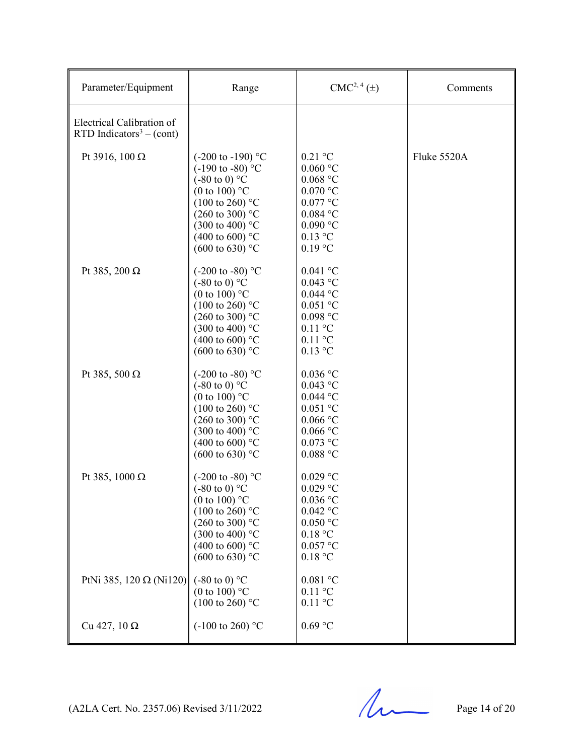| Parameter/Equipment                                               | Range                                                                                                                                                                                                                                                                   | $CMC2, 4(\pm)$                                                                                                                  | Comments    |
|-------------------------------------------------------------------|-------------------------------------------------------------------------------------------------------------------------------------------------------------------------------------------------------------------------------------------------------------------------|---------------------------------------------------------------------------------------------------------------------------------|-------------|
| Electrical Calibration of<br>RTD Indicators <sup>3</sup> – (cont) |                                                                                                                                                                                                                                                                         |                                                                                                                                 |             |
| Pt 3916, 100 Ω                                                    | $(-200 \text{ to } -190)$ °C<br>$(-190 \text{ to } -80)$ °C<br>$(-80 \text{ to } 0)$ °C<br>(0 to 100) $^{\circ}$ C<br>$(100 \text{ to } 260)$ °C<br>$(260 \text{ to } 300)$ °C<br>$(300 \text{ to } 400)$ °C<br>(400 to 600) $^{\circ}$ C<br>$(600 \text{ to } 630)$ °C | $0.21 \text{ °C}$<br>$0.060$ °C<br>$0.068$ °C<br>$0.070$ °C<br>$0.077$ °C<br>$0.084$ °C<br>$0.090$ °C<br>$0.13$ °C<br>$0.19$ °C | Fluke 5520A |
| Pt 385, 200 Ω                                                     | $(-200 \text{ to } -80)$ °C<br>$(-80 \text{ to } 0)$ °C<br>(0 to 100) $^{\circ}$ C<br>$(100 \text{ to } 260)$ °C<br>$(260 \text{ to } 300)$ °C<br>$(300 \text{ to } 400)$ °C<br>(400 to 600) $^{\circ}$ C<br>$(600 \text{ to } 630)$ °C                                 | $0.041$ °C<br>$0.043$ °C<br>$0.044$ °C<br>$0.051$ °C<br>$0.098$ °C<br>$0.11$ °C<br>$0.11$ °C<br>$0.13$ °C                       |             |
| Pt 385, 500 $\Omega$                                              | $(-200 \text{ to } -80)$ °C<br>$(-80 \text{ to } 0)$ °C<br>(0 to 100) $^{\circ}$ C<br>$(100 \text{ to } 260)$ °C<br>$(260 \text{ to } 300)$ °C<br>$(300 \text{ to } 400)$ °C<br>(400 to 600) $^{\circ}$ C<br>$(600 \text{ to } 630)$ °C                                 | $0.036$ °C<br>$0.043$ °C<br>$0.044$ °C<br>$0.051$ °C<br>$0.066$ °C<br>$0.066$ °C<br>$0.073$ °C<br>$0.088$ °C                    |             |
| Pt 385, 1000 Ω                                                    | $(-200 \text{ to } -80)$ °C<br>$(-80 \text{ to } 0)$ °C<br>(0 to 100) $^{\circ}$ C<br>$(100 \text{ to } 260)$ °C<br>$(260 \text{ to } 300)$ °C<br>$(300 \text{ to } 400)$ °C<br>(400 to 600) $^{\circ}$ C<br>$(600 \text{ to } 630)$ °C                                 | $0.029$ °C<br>$0.029$ °C<br>$0.036$ °C<br>$0.042$ °C<br>$0.050$ °C<br>0.18 °C<br>$0.057$ °C<br>0.18 °C                          |             |
| PtNi 385, 120 $\Omega$ (Ni120)                                    | $(-80 \text{ to } 0)$ °C<br>(0 to 100) $^{\circ}$ C<br>$(100 \text{ to } 260)$ °C                                                                                                                                                                                       | $0.081\ ^{\circ}\textrm{C}$<br>$0.11$ °C<br>$0.11$ °C                                                                           |             |
| Cu 427, 10 $\Omega$                                               | $(-100 \text{ to } 260)$ °C                                                                                                                                                                                                                                             | $0.69\ ^{\circ}\textrm{C}$                                                                                                      |             |

 $(A2LA$  Cert. No. 2357.06) Revised 3/11/2022 Page 14 of 20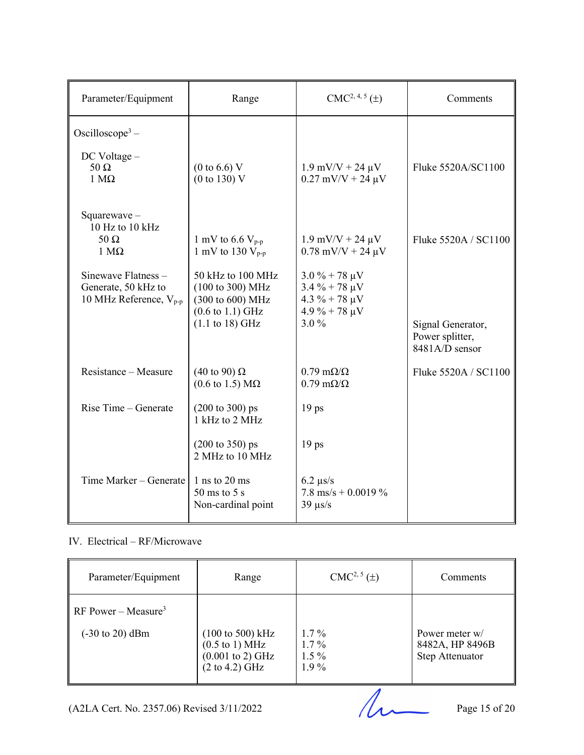| Parameter/Equipment                                                                                                                          | Range                                                                                                                                                                                                       | $CMC2, 4, 5(\pm)$                                                                                                                                        | Comments                                                                       |
|----------------------------------------------------------------------------------------------------------------------------------------------|-------------------------------------------------------------------------------------------------------------------------------------------------------------------------------------------------------------|----------------------------------------------------------------------------------------------------------------------------------------------------------|--------------------------------------------------------------------------------|
| Oscilloscope <sup>3</sup> –<br>$DC$ Voltage $-$<br>$50 \Omega$<br>$1 M\Omega$                                                                | $(0 \text{ to } 6.6) \text{ V}$<br>(0 to 130) V                                                                                                                                                             | $1.9$ mV/V + 24 $\mu$ V<br>$0.27$ mV/V + 24 $\mu$ V                                                                                                      | Fluke 5520A/SC1100                                                             |
| Squarewave $-$<br>10 Hz to 10 kHz<br>$50 \Omega$<br>$1 M\Omega$<br>Sinewave Flatness -<br>Generate, 50 kHz to<br>10 MHz Reference, $V_{p-p}$ | 1 mV to 6.6 $V_{p-p}$<br>1 mV to 130 $V_{p-p}$<br>50 kHz to 100 MHz<br>$(100 \text{ to } 300) \text{ MHz}$<br>(300 to 600) MHz<br>$(0.6 \text{ to } 1.1) \text{ GHz}$<br>$(1.1 \text{ to } 18) \text{ GHz}$ | $1.9$ mV/V + 24 $\mu$ V<br>$0.78$ mV/V + 24 $\mu$ V<br>$3.0\% + 78 \mu V$<br>$3.4\% + 78 \mu V$<br>$4.3 \% + 78 \mu V$<br>$4.9 \% + 78 \mu V$<br>$3.0\%$ | Fluke 5520A / SC1100<br>Signal Generator,<br>Power splitter,<br>8481A/D sensor |
| Resistance – Measure                                                                                                                         | $(40 \text{ to } 90) \Omega$<br>$(0.6 \text{ to } 1.5) \text{ M}\Omega$                                                                                                                                     | $0.79 \text{ m}\Omega/\Omega$<br>$0.79 \text{ m}\Omega/\Omega$                                                                                           | Fluke 5520A / SC1100                                                           |
| Rise Time - Generate                                                                                                                         | $(200 \text{ to } 300) \text{ ps}$<br>1 kHz to 2 MHz                                                                                                                                                        | 19 <sub>ps</sub>                                                                                                                                         |                                                                                |
|                                                                                                                                              | $(200 \text{ to } 350) \text{ ps}$<br>2 MHz to 10 MHz                                                                                                                                                       | 19 <sub>ps</sub>                                                                                                                                         |                                                                                |
| Time Marker - Generate                                                                                                                       | $1$ ns to $20$ ms<br>$50 \text{ ms}$ to $5 \text{ s}$<br>Non-cardinal point                                                                                                                                 | $6.2 \ \mu s/s$<br>7.8 ms/s + 0.0019 $\%$<br>$39 \text{ }\mu\text{s/s}$                                                                                  |                                                                                |

#### IV. Electrical – RF/Microwave

| Parameter/Equipment                                                   | Range                                                                                                                                        | $CMC2, 5(\pm)$                           | Comments                                             |
|-----------------------------------------------------------------------|----------------------------------------------------------------------------------------------------------------------------------------------|------------------------------------------|------------------------------------------------------|
| RF Power – Measure <sup>3</sup><br>$(-30 \text{ to } 20) \text{ dBm}$ | $(100 \text{ to } 500) \text{ kHz}$<br>$(0.5 \text{ to } 1) \text{ MHz}$<br>$(0.001 \text{ to } 2) \text{ GHz}$<br>$(2 \text{ to } 4.2)$ GHz | $1.7\%$<br>$1.7\%$<br>$1.5\%$<br>$1.9\%$ | Power meter w/<br>8482A, HP 8496B<br>Step Attenuator |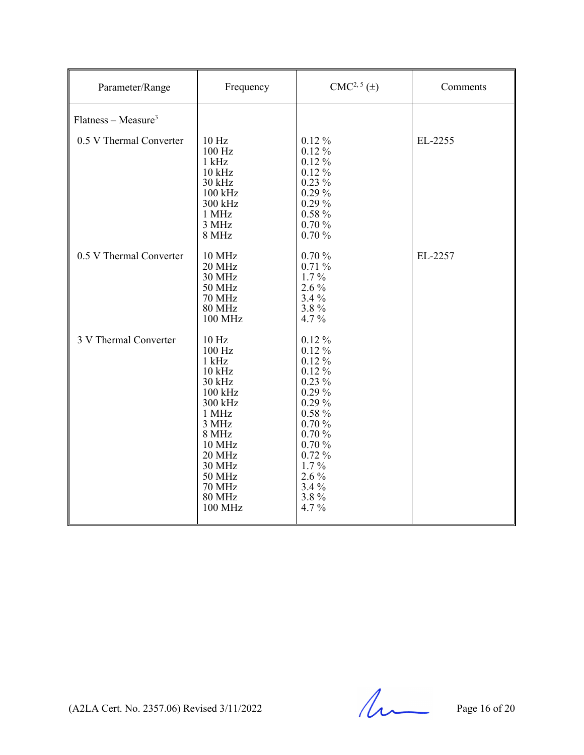| Parameter/Range         | Frequency                                                                                                                                                                                     | $CMC2, 5(\pm)$                                                                                                                                                                       | Comments |
|-------------------------|-----------------------------------------------------------------------------------------------------------------------------------------------------------------------------------------------|--------------------------------------------------------------------------------------------------------------------------------------------------------------------------------------|----------|
| $Flatness - Measure3$   |                                                                                                                                                                                               |                                                                                                                                                                                      |          |
| 0.5 V Thermal Converter | 10 <sub>Hz</sub><br>100 Hz<br>$1$ kHz<br>$10$ kHz<br>30 kHz<br>$100$ kHz<br>300 kHz<br>1 MHz<br>3 MHz<br>8 MHz                                                                                | $0.12\%$<br>$0.12\%$<br>$0.12\%$<br>$0.12\%$<br>$0.23\%$<br>0.29%<br>0.29%<br>$0.58 \%$<br>0.70%<br>0.70%                                                                            | EL-2255  |
| 0.5 V Thermal Converter | 10 MHz<br>20 MHz<br>30 MHz<br>50 MHz<br><b>70 MHz</b><br><b>80 MHz</b><br>100 MHz                                                                                                             | 0.70%<br>0.71%<br>$1.7\%$<br>$2.6\%$<br>$3.4\%$<br>3.8%<br>4.7%                                                                                                                      | EL-2257  |
| 3 V Thermal Converter   | 10 Hz<br>100 Hz<br>$1$ kHz<br>$10$ kHz<br>30 kHz<br>100 kHz<br>300 kHz<br>1 MHz<br>3 MHz<br>8 MHz<br>10 MHz<br>20 MHz<br><b>30 MHz</b><br>50 MHz<br><b>70 MHz</b><br><b>80 MHz</b><br>100 MHz | $0.12\ \%$<br>$0.12\%$<br>$0.12\%$<br>$0.12\%$<br>$0.23\%$<br>$0.29\%$<br>$0.29\%$<br>$0.58 \%$<br>0.70%<br>0.70%<br>0.70%<br>0.72%<br>$1.7\%$<br>$2.6\%$<br>$3.4\%$<br>3.8%<br>4.7% |          |

 $(A2LA$  Cert. No. 2357.06) Revised 3/11/2022 Page 16 of 20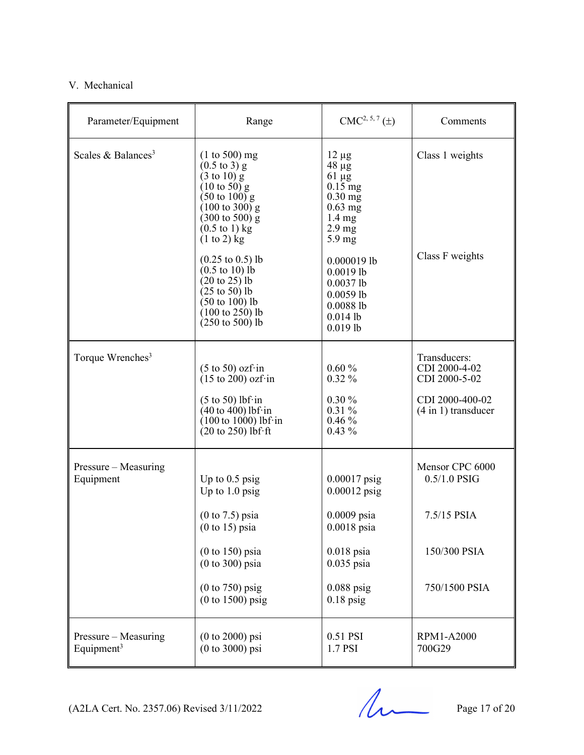#### V. Mechanical

| Parameter/Equipment                            | Range                                                                                                                                                                                                                                               | $CMC2, 5, 7(\pm)$                                                                                                                         | Comments                                          |
|------------------------------------------------|-----------------------------------------------------------------------------------------------------------------------------------------------------------------------------------------------------------------------------------------------------|-------------------------------------------------------------------------------------------------------------------------------------------|---------------------------------------------------|
| Scales & Balances <sup>3</sup>                 | $(1 to 500)$ mg<br>$(0.5 \text{ to } 3)$ g<br>$(3 \text{ to } 10)$ g<br>$(10 \text{ to } 50)$ g<br>$(50 \text{ to } 100)$ g<br>$(100 \text{ to } 300)$ g<br>$(300 \text{ to } 500)$ g<br>$(0.5 \text{ to } 1) \text{ kg}$<br>$(1 \text{ to } 2)$ kg | $12 \mu g$<br>$48 \mu g$<br>$61 \mu g$<br>$0.15$ mg<br>$0.30$ mg<br>$0.63$ mg<br>$1.4 \text{ mg}$<br>$2.9 \text{ mg}$<br>$5.9 \text{ mg}$ | Class 1 weights                                   |
|                                                | $(0.25 \text{ to } 0.5)$ lb<br>$(0.5 \text{ to } 10)$ lb<br>$(20 \text{ to } 25)$ lb<br>$(25 \text{ to } 50)$ lb<br>$(50 \text{ to } 100)$ lb<br>$(100 \text{ to } 250)$ lb<br>$(250 \text{ to } 500)$ lb                                           | $0.000019$ lb<br>$0.0019$ lb<br>$0.0037$ lb<br>$0.0059$ lb<br>0.00881b<br>$0.014$ lb<br>$0.019$ lb                                        | Class F weights                                   |
| Torque Wrenches <sup>3</sup>                   | $(5 \text{ to } 50)$ ozf·in<br>$(15 \text{ to } 200)$ ozf $\cdot$ in                                                                                                                                                                                | $0.60\%$<br>$0.32\%$                                                                                                                      | Transducers:<br>CDI 2000-4-02<br>CDI 2000-5-02    |
|                                                | $(5 \text{ to } 50)$ lbf·in<br>$(40 \text{ to } 400)$ lbf·in<br>$(100 \text{ to } 1000)$ lbf·in<br>$(20 \text{ to } 250)$ lbf·ft                                                                                                                    | $0.30\%$<br>$0.31\%$<br>0.46%<br>$0.43\%$                                                                                                 | CDI 2000-400-02<br>$(4 \text{ in } 1)$ transducer |
| Pressure – Measuring<br>Equipment              | Up to $0.5$ psig<br>Up to $1.0$ psig                                                                                                                                                                                                                | $0.00017$ psig<br>$0.00012$ psig                                                                                                          | Mensor CPC 6000<br>$0.5/1.0$ PSIG                 |
|                                                | $(0 \text{ to } 7.5)$ psia<br>$(0 \text{ to } 15)$ psia                                                                                                                                                                                             | $0.0009$ psia<br>$0.0018$ psia                                                                                                            | 7.5/15 PSIA                                       |
|                                                | $(0 to 150)$ psia<br>$(0 to 300)$ psia                                                                                                                                                                                                              | $0.018$ psia<br>$0.035$ psia                                                                                                              | 150/300 PSIA                                      |
|                                                | $(0 to 750)$ psig<br>$(0 to 1500)$ psig                                                                                                                                                                                                             | $0.088$ psig<br>$0.18$ psig                                                                                                               | 750/1500 PSIA                                     |
| Pressure – Measuring<br>Equipment <sup>3</sup> | $(0 to 2000)$ psi<br>$(0 to 3000)$ psi                                                                                                                                                                                                              | 0.51 PSI<br>1.7 PSI                                                                                                                       | <b>RPM1-A2000</b><br>700G29                       |

 $(A2LA$  Cert. No. 2357.06) Revised 3/11/2022 Page 17 of 20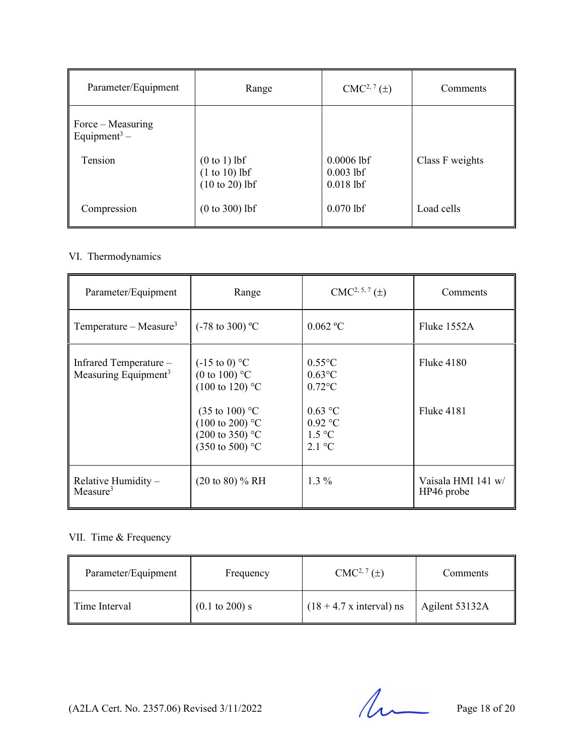| Parameter/Equipment                           | Range                                                 | $CMC2, 7(\pm)$                             | Comments        |
|-----------------------------------------------|-------------------------------------------------------|--------------------------------------------|-----------------|
| Force – Measuring<br>Equipment <sup>3</sup> – |                                                       |                                            |                 |
| Tension                                       | $(0 to 1)$ lbf<br>$(1 to 10)$ lbf<br>$(10 to 20)$ lbf | $0.0006$ lbf<br>$0.003$ lbf<br>$0.018$ lbf | Class F weights |
| Compression                                   | $(0 to 300)$ lbf                                      | $0.070$ lbf                                | Load cells      |

#### VI. Thermodynamics

| Parameter/Equipment                                        | Range                                                                                                                                                                                                    | $CMC2, 5, 7(\pm)$                                                                                                   | Comments                         |
|------------------------------------------------------------|----------------------------------------------------------------------------------------------------------------------------------------------------------------------------------------------------------|---------------------------------------------------------------------------------------------------------------------|----------------------------------|
| Temperature – Measure <sup>3</sup>                         | $(-78 \text{ to } 300)$ °C                                                                                                                                                                               | 0.062 °C                                                                                                            | Fluke 1552A                      |
| Infrared Temperature -<br>Measuring Equipment <sup>3</sup> | $(-15 \text{ to } 0)$ °C<br>(0 to 100) $^{\circ}$ C<br>$(100 \text{ to } 120)$ °C<br>$(35 \text{ to } 100)$ °C<br>$(100 \text{ to } 200)$ °C<br>$(200 \text{ to } 350)$ °C<br>$(350 \text{ to } 500)$ °C | $0.55^{\circ}$ C<br>$0.63$ °C<br>$0.72$ °C<br>$0.63$ °C<br>$0.92$ °C<br>$1.5 \text{ °C}$<br>$2.1 \text{ }^{\circ}C$ | Fluke 4180<br>Fluke 4181         |
| Relative Humidity $-$<br>Measure <sup>3</sup>              | $(20 \text{ to } 80)$ % RH                                                                                                                                                                               | $1.3\%$                                                                                                             | Vaisala HMI 141 w/<br>HP46 probe |

#### VII. Time & Frequency

| Parameter/Equipment | Frequency                 | $CMC2, 7(\pm)$                  | <b>Comments</b> |
|---------------------|---------------------------|---------------------------------|-----------------|
| Time Interval       | $(0.1 \text{ to } 200)$ s | $(18 + 4.7 \times interval)$ ns | Agilent 53132A  |

(A2LA Cert. No. 2357.06) Revised 3/11/2022 Page 18 of 20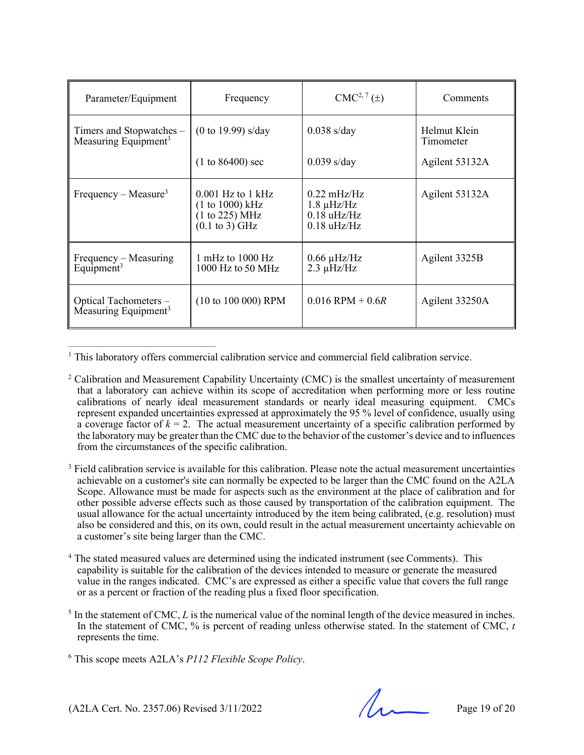| Parameter/Equipment                                          | Frequency                                                                             | $CMC2, 7(\pm)$                                                                     | Comments                  |
|--------------------------------------------------------------|---------------------------------------------------------------------------------------|------------------------------------------------------------------------------------|---------------------------|
| Timers and Stopwatches –<br>Measuring Equipment <sup>3</sup> | $(0 \text{ to } 19.99)$ s/day                                                         | $0.038$ s/day                                                                      | Helmut Klein<br>Timometer |
|                                                              | $(1 to 86400)$ sec                                                                    | $0.039$ s/day                                                                      | Agilent 53132A            |
| Frequency – Measure <sup>3</sup>                             | $0.001$ Hz to 1 kHz<br>(1 to 1000) kHz<br>(1 to 225) MHz<br>$(0.1 \text{ to } 3)$ GHz | $0.22 \text{ mHz/Hz}$<br>$1.8 \mu$ Hz/Hz<br>$0.18$ uHz/Hz<br>$0.18 \text{ uHz/Hz}$ | Agilent 53132A            |
| Frequency – Measuring<br>Equipment <sup>3</sup>              | 1 mHz to $1000$ Hz<br>$1000$ Hz to 50 MHz                                             | $0.66 \mu$ Hz/Hz<br>$2.3 \mu$ Hz/Hz                                                | Agilent 3325B             |
| Optical Tachometers -<br>Measuring Equipment <sup>3</sup>    | $(10 to 100 000)$ RPM                                                                 | $0.016$ RPM + $0.6R$                                                               | Agilent 33250A            |

<sup>1</sup> This laboratory offers commercial calibration service and commercial field calibration service.

- <sup>2</sup> Calibration and Measurement Capability Uncertainty (CMC) is the smallest uncertainty of measurement that a laboratory can achieve within its scope of accreditation when performing more or less routine calibrations of nearly ideal measurement standards or nearly ideal measuring equipment. CMCs represent expanded uncertainties expressed at approximately the 95 % level of confidence, usually using a coverage factor of  $k = 2$ . The actual measurement uncertainty of a specific calibration performed by the laboratory may be greater than the CMC due to the behavior of the customer's device and to influences from the circumstances of the specific calibration.
- <sup>3</sup> Field calibration service is available for this calibration. Please note the actual measurement uncertainties achievable on a customer's site can normally be expected to be larger than the CMC found on the A2LA Scope. Allowance must be made for aspects such as the environment at the place of calibration and for other possible adverse effects such as those caused by transportation of the calibration equipment. The usual allowance for the actual uncertainty introduced by the item being calibrated, (e.g. resolution) must also be considered and this, on its own, could result in the actual measurement uncertainty achievable on a customer's site being larger than the CMC.
- <sup>4</sup> The stated measured values are determined using the indicated instrument (see Comments). This capability is suitable for the calibration of the devices intended to measure or generate the measured value in the ranges indicated. CMC's are expressed as either a specific value that covers the full range or as a percent or fraction of the reading plus a fixed floor specification.
- <sup>5</sup> In the statement of CMC, *L* is the numerical value of the nominal length of the device measured in inches. In the statement of CMC, % is percent of reading unless otherwise stated. In the statement of CMC, *t* represents the time.

<sup>6</sup> This scope meets A2LA's *P112 Flexible Scope Policy*.

 $(42LA$  Cert. No. 2357.06) Revised 3/11/2022 Page 19 of 20

 $\mathcal{L}_\text{max}$  and the contract of the contract of the contract of the contract of the contract of the contract of the contract of the contract of the contract of the contract of the contract of the contract of the contrac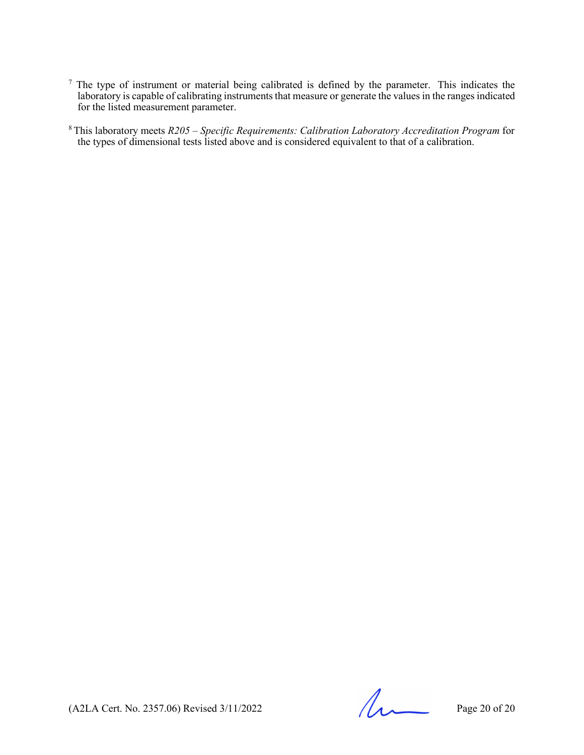- <sup>7</sup> The type of instrument or material being calibrated is defined by the parameter. This indicates the laboratory is capable of calibrating instruments that measure or generate the values in the ranges indicated for the listed measurement parameter.
- 8 This laboratory meets *R205 – Specific Requirements: Calibration Laboratory Accreditation Program* for the types of dimensional tests listed above and is considered equivalent to that of a calibration.

 $(A2LA$  Cert. No. 2357.06) Revised  $3/11/2022$  Page 20 of 20